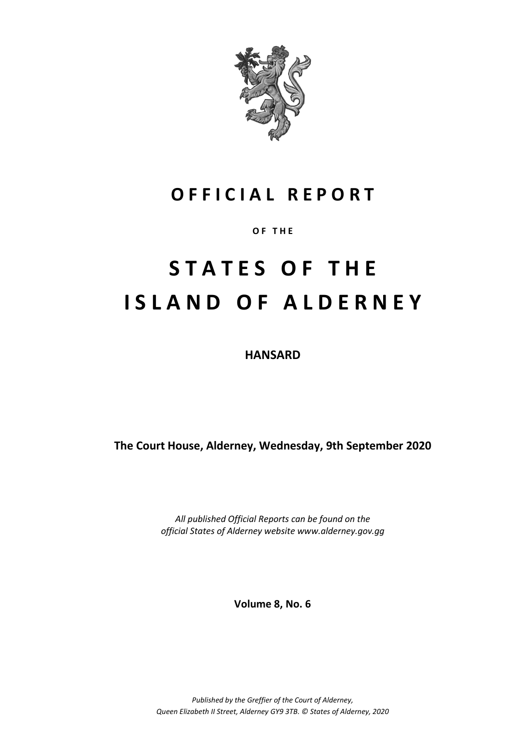

# **O F F I C I A L R E P O R T**

**O F T H E**

# **S T A T E S O F T H E I S L A N D O F A L D E R N E Y**

**HANSARD**

**The Court House, Alderney, Wednesday, 9th September 2020**

*All published Official Reports can be found on the official States of Alderney website www.alderney.gov.gg*

**Volume 8, No. 6**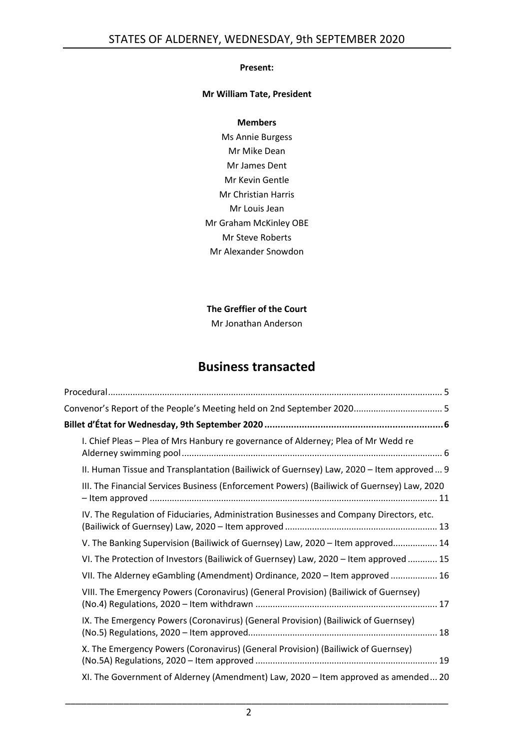### **Present:**

### **Mr William Tate, President**

### **Members**

Ms Annie Burgess Mr Mike Dean Mr James Dent Mr Kevin Gentle Mr Christian Harris Mr Louis Jean Mr Graham McKinley OBE Mr Steve Roberts Mr Alexander Snowdon

### **The Greffier of the Court**

Mr Jonathan Anderson

### **Business transacted**

| Convenor's Report of the People's Meeting held on 2nd September 2020 5                      |  |
|---------------------------------------------------------------------------------------------|--|
| Billet d'État for Wednesday, 9th September 2020 ………………………………………………………………………………6             |  |
| I. Chief Pleas - Plea of Mrs Hanbury re governance of Alderney; Plea of Mr Wedd re          |  |
| II. Human Tissue and Transplantation (Bailiwick of Guernsey) Law, 2020 - Item approved  9   |  |
| III. The Financial Services Business (Enforcement Powers) (Bailiwick of Guernsey) Law, 2020 |  |
| IV. The Regulation of Fiduciaries, Administration Businesses and Company Directors, etc.    |  |
| V. The Banking Supervision (Bailiwick of Guernsey) Law, 2020 - Item approved 14             |  |
| VI. The Protection of Investors (Bailiwick of Guernsey) Law, 2020 - Item approved  15       |  |
| VII. The Alderney eGambling (Amendment) Ordinance, 2020 - Item approved  16                 |  |
| VIII. The Emergency Powers (Coronavirus) (General Provision) (Bailiwick of Guernsey)        |  |
| IX. The Emergency Powers (Coronavirus) (General Provision) (Bailiwick of Guernsey)          |  |
| X. The Emergency Powers (Coronavirus) (General Provision) (Bailiwick of Guernsey)           |  |
| XI. The Government of Alderney (Amendment) Law, 2020 - Item approved as amended 20          |  |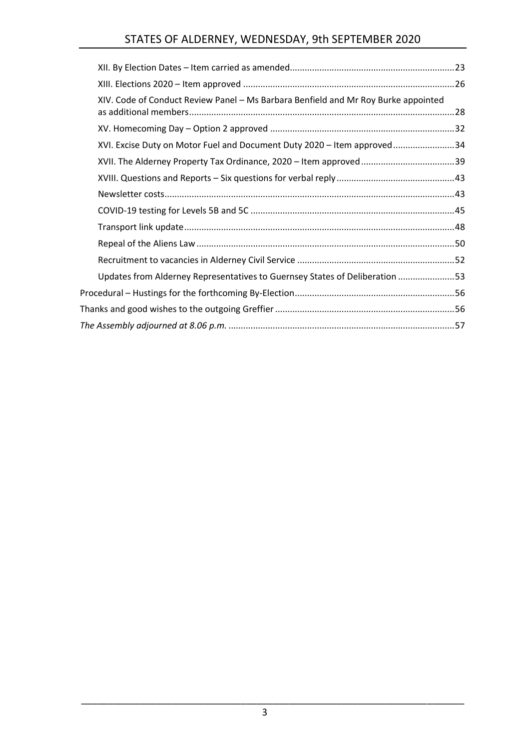### STATES OF ALDERNEY, WEDNESDAY, 9th SEPTEMBER 2020

| XIV. Code of Conduct Review Panel - Ms Barbara Benfield and Mr Roy Burke appointed |
|------------------------------------------------------------------------------------|
|                                                                                    |
| XVI. Excise Duty on Motor Fuel and Document Duty 2020 - Item approved34            |
|                                                                                    |
|                                                                                    |
|                                                                                    |
|                                                                                    |
|                                                                                    |
|                                                                                    |
|                                                                                    |
| Updates from Alderney Representatives to Guernsey States of Deliberation 53        |
|                                                                                    |
|                                                                                    |
|                                                                                    |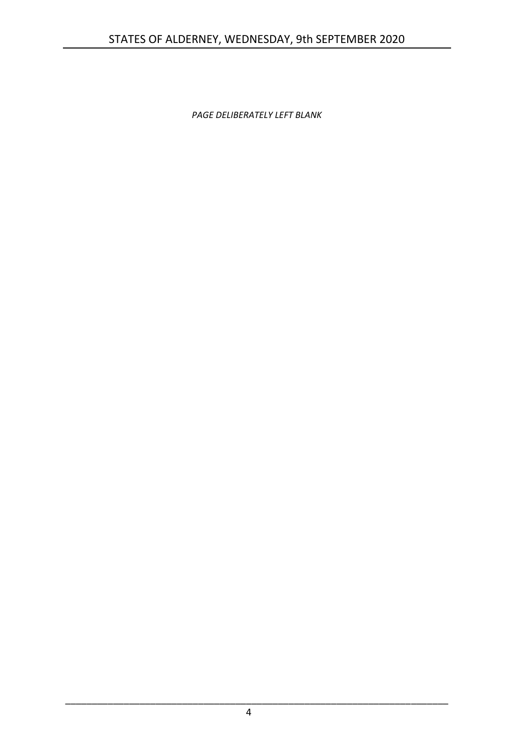*PAGE DELIBERATELY LEFT BLANK*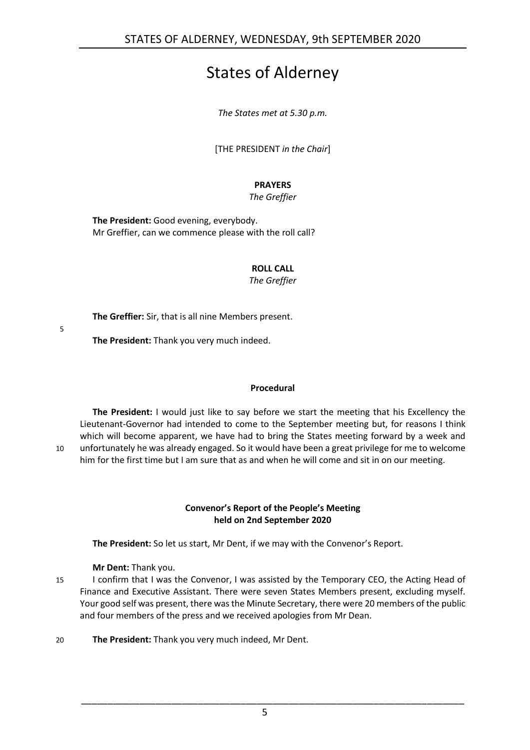## States of Alderney

*The States met at 5.30 p.m.*

[THE PRESIDENT *in the Chair*]

### **PRAYERS**

### *The Greffier*

**The President:** Good evening, everybody. Mr Greffier, can we commence please with the roll call?

### **ROLL CALL**

*The Greffier*

**The Greffier:** Sir, that is all nine Members present.

5

**The President:** Thank you very much indeed.

### **Procedural**

<span id="page-4-0"></span>**The President:** I would just like to say before we start the meeting that his Excellency the Lieutenant-Governor had intended to come to the September meeting but, for reasons I think which will become apparent, we have had to bring the States meeting forward by a week and 10 unfortunately he was already engaged. So it would have been a great privilege for me to welcome him for the first time but I am sure that as and when he will come and sit in on our meeting.

### **Convenor's Report of the People's Meeting held on 2nd September 2020**

<span id="page-4-1"></span>**The President:** So let us start, Mr Dent, if we may with the Convenor's Report.

**Mr Dent:** Thank you.

- 15 I confirm that I was the Convenor, I was assisted by the Temporary CEO, the Acting Head of Finance and Executive Assistant. There were seven States Members present, excluding myself. Your good self was present, there was the Minute Secretary, there were 20 members of the public and four members of the press and we received apologies from Mr Dean.
- 20 **The President:** Thank you very much indeed, Mr Dent.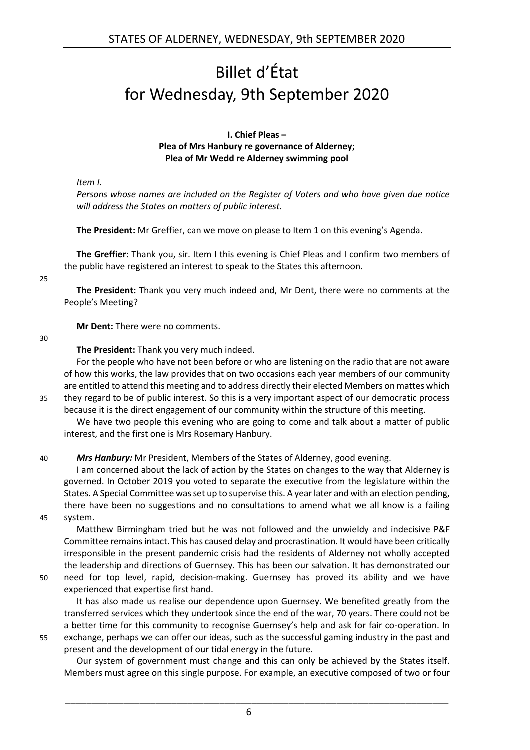# <span id="page-5-0"></span>Billet d'État for Wednesday, 9th September 2020

### **I. Chief Pleas – Plea of Mrs Hanbury re governance of Alderney; Plea of Mr Wedd re Alderney swimming pool**

<span id="page-5-1"></span>*Item I.*

*Persons whose names are included on the Register of Voters and who have given due notice will address the States on matters of public interest.*

**The President:** Mr Greffier, can we move on please to Item 1 on this evening's Agenda.

**The Greffier:** Thank you, sir. Item I this evening is Chief Pleas and I confirm two members of the public have registered an interest to speak to the States this afternoon.

### 25

**The President:** Thank you very much indeed and, Mr Dent, there were no comments at the People's Meeting?

**Mr Dent:** There were no comments.

#### 30

**The President:** Thank you very much indeed.

For the people who have not been before or who are listening on the radio that are not aware of how this works, the law provides that on two occasions each year members of our community are entitled to attend this meeting and to address directly their elected Members on mattes which 35 they regard to be of public interest. So this is a very important aspect of our democratic process

because it is the direct engagement of our community within the structure of this meeting.

We have two people this evening who are going to come and talk about a matter of public interest, and the first one is Mrs Rosemary Hanbury.

40 *Mrs Hanbury:* Mr President, Members of the States of Alderney, good evening.

I am concerned about the lack of action by the States on changes to the way that Alderney is governed. In October 2019 you voted to separate the executive from the legislature within the States. A Special Committee was set up to supervise this. A year later and with an election pending, there have been no suggestions and no consultations to amend what we all know is a failing

45 system.

Matthew Birmingham tried but he was not followed and the unwieldy and indecisive P&F Committee remains intact. This has caused delay and procrastination. It would have been critically irresponsible in the present pandemic crisis had the residents of Alderney not wholly accepted the leadership and directions of Guernsey. This has been our salvation. It has demonstrated our

50 need for top level, rapid, decision-making. Guernsey has proved its ability and we have experienced that expertise first hand.

It has also made us realise our dependence upon Guernsey. We benefited greatly from the transferred services which they undertook since the end of the war, 70 years. There could not be a better time for this community to recognise Guernsey's help and ask for fair co-operation. In 55 exchange, perhaps we can offer our ideas, such as the successful gaming industry in the past and

present and the development of our tidal energy in the future.

Our system of government must change and this can only be achieved by the States itself. Members must agree on this single purpose. For example, an executive composed of two or four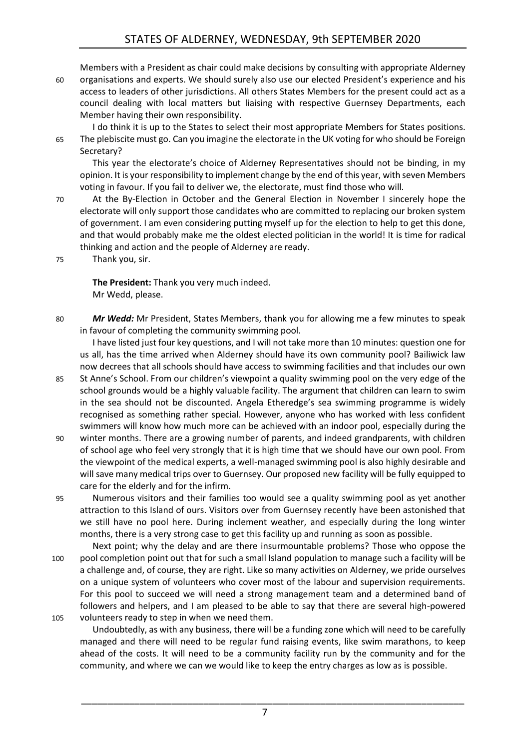Members with a President as chair could make decisions by consulting with appropriate Alderney

- 60 organisations and experts. We should surely also use our elected President's experience and his access to leaders of other jurisdictions. All others States Members for the present could act as a council dealing with local matters but liaising with respective Guernsey Departments, each Member having their own responsibility.
- I do think it is up to the States to select their most appropriate Members for States positions. 65 The plebiscite must go. Can you imagine the electorate in the UK voting for who should be Foreign Secretary?

This year the electorate's choice of Alderney Representatives should not be binding, in my opinion. It is your responsibility to implement change by the end of this year, with seven Members voting in favour. If you fail to deliver we, the electorate, must find those who will.

- 70 At the By-Election in October and the General Election in November I sincerely hope the electorate will only support those candidates who are committed to replacing our broken system of government. I am even considering putting myself up for the election to help to get this done, and that would probably make me the oldest elected politician in the world! It is time for radical thinking and action and the people of Alderney are ready.
- 75 Thank you, sir.

**The President:** Thank you very much indeed. Mr Wedd, please.

80 *Mr Wedd:* Mr President, States Members, thank you for allowing me a few minutes to speak in favour of completing the community swimming pool.

I have listed just four key questions, and I will not take more than 10 minutes: question one for us all, has the time arrived when Alderney should have its own community pool? Bailiwick law now decrees that all schools should have access to swimming facilities and that includes our own

- 85 St Anne's School. From our children's viewpoint a quality swimming pool on the very edge of the school grounds would be a highly valuable facility. The argument that children can learn to swim in the sea should not be discounted. Angela Etheredge's sea swimming programme is widely recognised as something rather special. However, anyone who has worked with less confident swimmers will know how much more can be achieved with an indoor pool, especially during the
- 90 winter months. There are a growing number of parents, and indeed grandparents, with children of school age who feel very strongly that it is high time that we should have our own pool. From the viewpoint of the medical experts, a well-managed swimming pool is also highly desirable and will save many medical trips over to Guernsey. Our proposed new facility will be fully equipped to care for the elderly and for the infirm.
- 95 Numerous visitors and their families too would see a quality swimming pool as yet another attraction to this Island of ours. Visitors over from Guernsey recently have been astonished that we still have no pool here. During inclement weather, and especially during the long winter months, there is a very strong case to get this facility up and running as soon as possible.
- Next point; why the delay and are there insurmountable problems? Those who oppose the 100 pool completion point out that for such a small Island population to manage such a facility will be a challenge and, of course, they are right. Like so many activities on Alderney, we pride ourselves on a unique system of volunteers who cover most of the labour and supervision requirements. For this pool to succeed we will need a strong management team and a determined band of followers and helpers, and I am pleased to be able to say that there are several high-powered 105 volunteers ready to step in when we need them.

Undoubtedly, as with any business, there will be a funding zone which will need to be carefully managed and there will need to be regular fund raising events, like swim marathons, to keep ahead of the costs. It will need to be a community facility run by the community and for the community, and where we can we would like to keep the entry charges as low as is possible.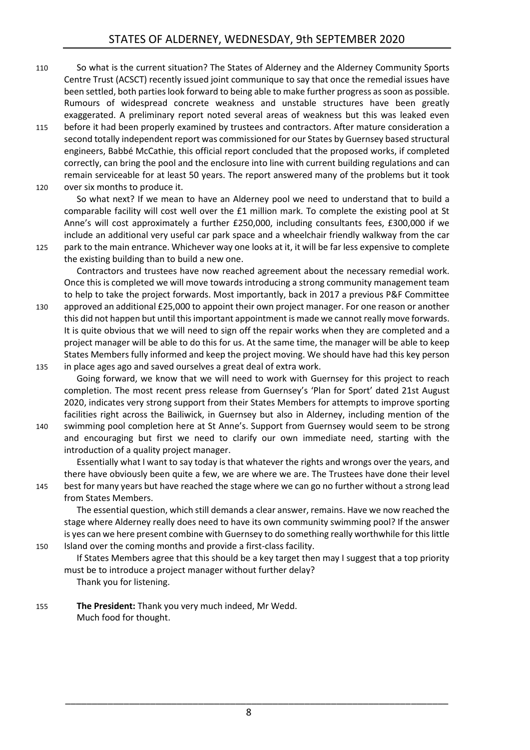- 110 So what is the current situation? The States of Alderney and the Alderney Community Sports Centre Trust (ACSCT) recently issued joint communique to say that once the remedial issues have been settled, both parties look forward to being able to make further progress as soon as possible. Rumours of widespread concrete weakness and unstable structures have been greatly exaggerated. A preliminary report noted several areas of weakness but this was leaked even
- 115 before it had been properly examined by trustees and contractors. After mature consideration a second totally independent report was commissioned for our States by Guernsey based structural engineers, Babbé McCathie, this official report concluded that the proposed works, if completed correctly, can bring the pool and the enclosure into line with current building regulations and can remain serviceable for at least 50 years. The report answered many of the problems but it took

120 over six months to produce it.

So what next? If we mean to have an Alderney pool we need to understand that to build a comparable facility will cost well over the £1 million mark. To complete the existing pool at St Anne's will cost approximately a further £250,000, including consultants fees, £300,000 if we include an additional very useful car park space and a wheelchair friendly walkway from the car

125 park to the main entrance. Whichever way one looks at it, it will be far less expensive to complete the existing building than to build a new one.

Contractors and trustees have now reached agreement about the necessary remedial work. Once this is completed we will move towards introducing a strong community management team to help to take the project forwards. Most importantly, back in 2017 a previous P&F Committee

- 130 approved an additional £25,000 to appoint their own project manager. For one reason or another this did not happen but until this important appointment is made we cannot really move forwards. It is quite obvious that we will need to sign off the repair works when they are completed and a project manager will be able to do this for us. At the same time, the manager will be able to keep States Members fully informed and keep the project moving. We should have had this key person 135 in place ages ago and saved ourselves a great deal of extra work.
	- Going forward, we know that we will need to work with Guernsey for this project to reach completion. The most recent press release from Guernsey's 'Plan for Sport' dated 21st August 2020, indicates very strong support from their States Members for attempts to improve sporting facilities right across the Bailiwick, in Guernsey but also in Alderney, including mention of the
- 140 swimming pool completion here at St Anne's. Support from Guernsey would seem to be strong and encouraging but first we need to clarify our own immediate need, starting with the introduction of a quality project manager.

Essentially what I want to say today is that whatever the rights and wrongs over the years, and there have obviously been quite a few, we are where we are. The Trustees have done their level

145 best for many years but have reached the stage where we can go no further without a strong lead from States Members.

The essential question, which still demands a clear answer, remains. Have we now reached the stage where Alderney really does need to have its own community swimming pool? If the answer is yes can we here present combine with Guernsey to do something really worthwhile for this little 150 Island over the coming months and provide a first-class facility.

If States Members agree that this should be a key target then may I suggest that a top priority must be to introduce a project manager without further delay?

- Thank you for listening.
- 155 **The President:** Thank you very much indeed, Mr Wedd. Much food for thought.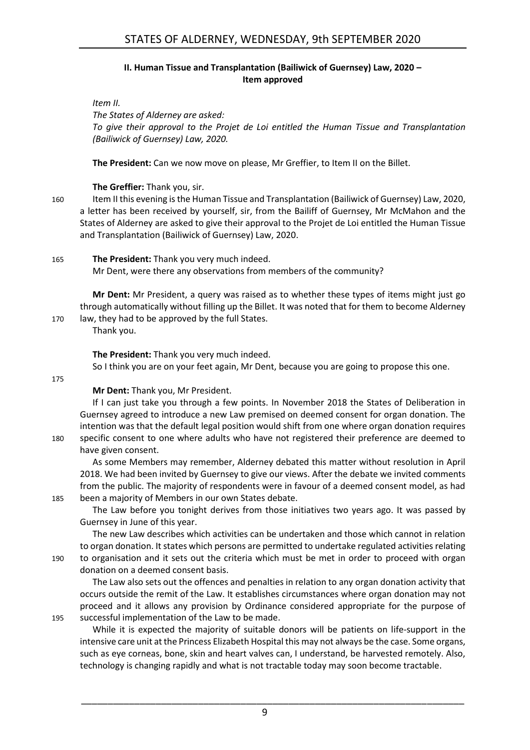### **II. Human Tissue and Transplantation (Bailiwick of Guernsey) Law, 2020 – Item approved**

<span id="page-8-0"></span>*Item II.*

*The States of Alderney are asked: To give their approval to the Projet de Loi entitled the Human Tissue and Transplantation (Bailiwick of Guernsey) Law, 2020.*

**The President:** Can we now move on please, Mr Greffier, to Item II on the Billet.

**The Greffier:** Thank you, sir.

160 Item II this evening is the Human Tissue and Transplantation (Bailiwick of Guernsey) Law, 2020, a letter has been received by yourself, sir, from the Bailiff of Guernsey, Mr McMahon and the States of Alderney are asked to give their approval to the Projet de Loi entitled the Human Tissue

165 **The President:** Thank you very much indeed. Mr Dent, were there any observations from members of the community?

and Transplantation (Bailiwick of Guernsey) Law, 2020.

**Mr Dent:** Mr President, a query was raised as to whether these types of items might just go through automatically without filling up the Billet. It was noted that for them to become Alderney 170 law, they had to be approved by the full States.

Thank you.

**The President:** Thank you very much indeed. So I think you are on your feet again, Mr Dent, because you are going to propose this one.

175

**Mr Dent:** Thank you, Mr President.

If I can just take you through a few points. In November 2018 the States of Deliberation in Guernsey agreed to introduce a new Law premised on deemed consent for organ donation. The intention was that the default legal position would shift from one where organ donation requires 180 specific consent to one where adults who have not registered their preference are deemed to

have given consent.

As some Members may remember, Alderney debated this matter without resolution in April 2018. We had been invited by Guernsey to give our views. After the debate we invited comments from the public. The majority of respondents were in favour of a deemed consent model, as had 185 been a majority of Members in our own States debate.

The Law before you tonight derives from those initiatives two years ago. It was passed by Guernsey in June of this year.

The new Law describes which activities can be undertaken and those which cannot in relation to organ donation. It states which persons are permitted to undertake regulated activities relating 190 to organisation and it sets out the criteria which must be met in order to proceed with organ donation on a deemed consent basis.

The Law also sets out the offences and penalties in relation to any organ donation activity that occurs outside the remit of the Law. It establishes circumstances where organ donation may not proceed and it allows any provision by Ordinance considered appropriate for the purpose of 195 successful implementation of the Law to be made.

While it is expected the majority of suitable donors will be patients on life-support in the intensive care unit at the Princess Elizabeth Hospital this may not always be the case. Some organs, such as eye corneas, bone, skin and heart valves can, I understand, be harvested remotely. Also, technology is changing rapidly and what is not tractable today may soon become tractable.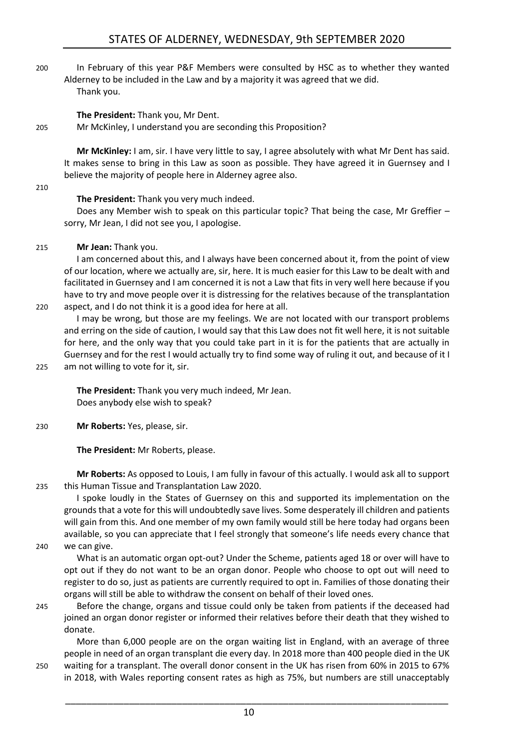200 In February of this year P&F Members were consulted by HSC as to whether they wanted Alderney to be included in the Law and by a majority it was agreed that we did. Thank you.

**The President:** Thank you, Mr Dent.

205 Mr McKinley, I understand you are seconding this Proposition?

**Mr McKinley:** I am, sir. I have very little to say, I agree absolutely with what Mr Dent has said. It makes sense to bring in this Law as soon as possible. They have agreed it in Guernsey and I believe the majority of people here in Alderney agree also.

### 210

### **The President:** Thank you very much indeed.

Does any Member wish to speak on this particular topic? That being the case, Mr Greffier – sorry, Mr Jean, I did not see you, I apologise.

### 215 **Mr Jean:** Thank you.

I am concerned about this, and I always have been concerned about it, from the point of view of our location, where we actually are, sir, here. It is much easier for this Law to be dealt with and facilitated in Guernsey and I am concerned it is not a Law that fits in very well here because if you have to try and move people over it is distressing for the relatives because of the transplantation 220 aspect, and I do not think it is a good idea for here at all.

I may be wrong, but those are my feelings. We are not located with our transport problems and erring on the side of caution, I would say that this Law does not fit well here, it is not suitable for here, and the only way that you could take part in it is for the patients that are actually in Guernsey and for the rest I would actually try to find some way of ruling it out, and because of it I 225 am not willing to vote for it, sir.

**The President:** Thank you very much indeed, Mr Jean. Does anybody else wish to speak?

230 **Mr Roberts:** Yes, please, sir.

**The President:** Mr Roberts, please.

**Mr Roberts:** As opposed to Louis, I am fully in favour of this actually. I would ask all to support 235 this Human Tissue and Transplantation Law 2020.

I spoke loudly in the States of Guernsey on this and supported its implementation on the grounds that a vote for this will undoubtedly save lives. Some desperately ill children and patients will gain from this. And one member of my own family would still be here today had organs been available, so you can appreciate that I feel strongly that someone's life needs every chance that 240 we can give.

What is an automatic organ opt-out? Under the Scheme, patients aged 18 or over will have to opt out if they do not want to be an organ donor. People who choose to opt out will need to register to do so, just as patients are currently required to opt in. Families of those donating their organs will still be able to withdraw the consent on behalf of their loved ones.

245 Before the change, organs and tissue could only be taken from patients if the deceased had joined an organ donor register or informed their relatives before their death that they wished to donate.

More than 6,000 people are on the organ waiting list in England, with an average of three people in need of an organ transplant die every day. In 2018 more than 400 people died in the UK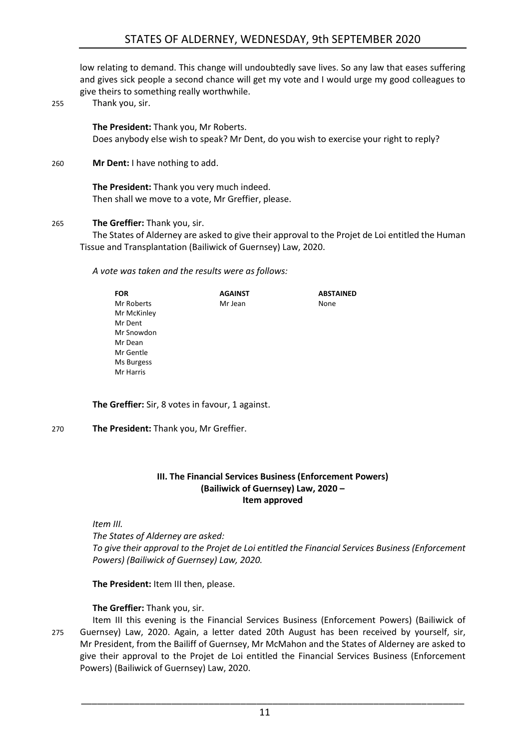### STATES OF ALDERNEY, WEDNESDAY, 9th SEPTEMBER 2020

low relating to demand. This change will undoubtedly save lives. So any law that eases suffering and gives sick people a second chance will get my vote and I would urge my good colleagues to give theirs to something really worthwhile.

255 Thank you, sir.

**The President:** Thank you, Mr Roberts. Does anybody else wish to speak? Mr Dent, do you wish to exercise your right to reply?

260 **Mr Dent:** I have nothing to add.

**The President:** Thank you very much indeed. Then shall we move to a vote, Mr Greffier, please.

### 265 **The Greffier:** Thank you, sir.

The States of Alderney are asked to give their approval to the Projet de Loi entitled the Human Tissue and Transplantation (Bailiwick of Guernsey) Law, 2020.

*A vote was taken and the results were as follows:*

| <b>FOR</b>  | <b>AGAINST</b> | <b>ABSTAINED</b> |
|-------------|----------------|------------------|
| Mr Roberts  | Mr Jean        | None             |
| Mr McKinley |                |                  |
| Mr Dent     |                |                  |
| Mr Snowdon  |                |                  |
| Mr Dean     |                |                  |
| Mr Gentle   |                |                  |
| Ms Burgess  |                |                  |
| Mr Harris   |                |                  |

**The Greffier:** Sir, 8 votes in favour, 1 against.

270 **The President:** Thank you, Mr Greffier.

### **III. The Financial Services Business (Enforcement Powers) (Bailiwick of Guernsey) Law, 2020 – Item approved**

### <span id="page-10-0"></span>*Item III.*

*The States of Alderney are asked: To give their approval to the Projet de Loi entitled the Financial Services Business (Enforcement Powers) (Bailiwick of Guernsey) Law, 2020.*

**The President:** Item III then, please.

### **The Greffier:** Thank you, sir.

Item III this evening is the Financial Services Business (Enforcement Powers) (Bailiwick of 275 Guernsey) Law, 2020. Again, a letter dated 20th August has been received by yourself, sir, Mr President, from the Bailiff of Guernsey, Mr McMahon and the States of Alderney are asked to give their approval to the Projet de Loi entitled the Financial Services Business (Enforcement Powers) (Bailiwick of Guernsey) Law, 2020.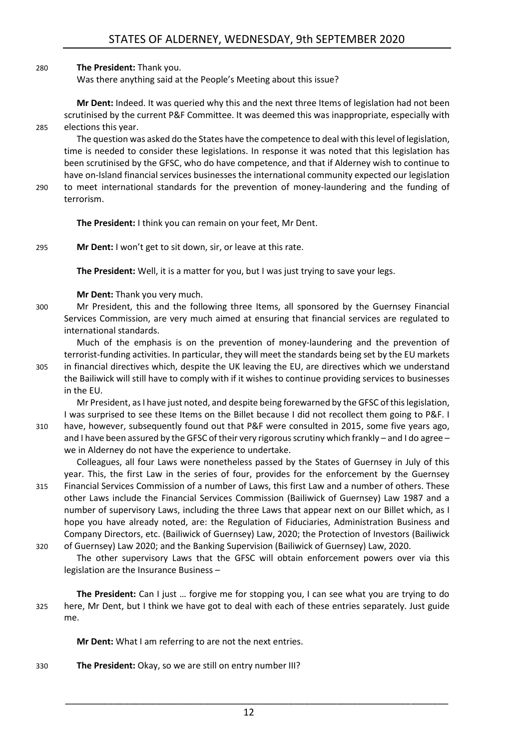### 280 **The President:** Thank you.

Was there anything said at the People's Meeting about this issue?

**Mr Dent:** Indeed. It was queried why this and the next three Items of legislation had not been scrutinised by the current P&F Committee. It was deemed this was inappropriate, especially with 285 elections this year.

The question was asked do the States have the competence to deal with this level of legislation, time is needed to consider these legislations. In response it was noted that this legislation has been scrutinised by the GFSC, who do have competence, and that if Alderney wish to continue to have on-Island financial services businesses the international community expected our legislation

290 to meet international standards for the prevention of money-laundering and the funding of terrorism.

**The President:** I think you can remain on your feet, Mr Dent.

295 **Mr Dent:** I won't get to sit down, sir, or leave at this rate.

**The President:** Well, it is a matter for you, but I was just trying to save your legs.

### **Mr Dent:** Thank you very much.

300 Mr President, this and the following three Items, all sponsored by the Guernsey Financial Services Commission, are very much aimed at ensuring that financial services are regulated to international standards.

Much of the emphasis is on the prevention of money-laundering and the prevention of terrorist-funding activities. In particular, they will meet the standards being set by the EU markets 305 in financial directives which, despite the UK leaving the EU, are directives which we understand the Bailiwick will still have to comply with if it wishes to continue providing services to businesses

in the EU. Mr President, as I have just noted, and despite being forewarned by the GFSC of this legislation, I was surprised to see these Items on the Billet because I did not recollect them going to P&F. I

310 have, however, subsequently found out that P&F were consulted in 2015, some five years ago, and I have been assured by the GFSC of their very rigorous scrutiny which frankly – and I do agree – we in Alderney do not have the experience to undertake.

Colleagues, all four Laws were nonetheless passed by the States of Guernsey in July of this year. This, the first Law in the series of four, provides for the enforcement by the Guernsey 315 Financial Services Commission of a number of Laws, this first Law and a number of others. These other Laws include the Financial Services Commission (Bailiwick of Guernsey) Law 1987 and a number of supervisory Laws, including the three Laws that appear next on our Billet which, as I

- hope you have already noted, are: the Regulation of Fiduciaries, Administration Business and Company Directors, etc. (Bailiwick of Guernsey) Law, 2020; the Protection of Investors (Bailiwick 320 of Guernsey) Law 2020; and the Banking Supervision (Bailiwick of Guernsey) Law, 2020.
	- The other supervisory Laws that the GFSC will obtain enforcement powers over via this legislation are the Insurance Business –

**The President:** Can I just … forgive me for stopping you, I can see what you are trying to do 325 here, Mr Dent, but I think we have got to deal with each of these entries separately. Just guide me.

**Mr Dent:** What I am referring to are not the next entries.

330 **The President:** Okay, so we are still on entry number III?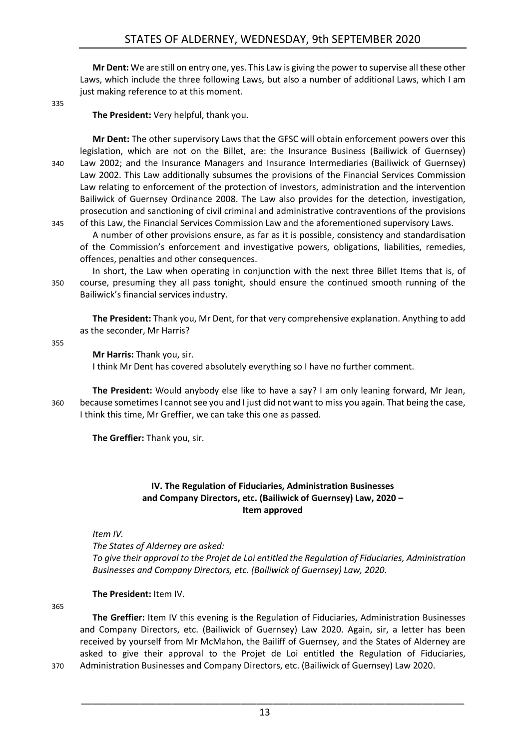**Mr Dent:** We are still on entry one, yes. This Law is giving the power to supervise all these other Laws, which include the three following Laws, but also a number of additional Laws, which I am just making reference to at this moment.

335

**The President:** Very helpful, thank you.

**Mr Dent:** The other supervisory Laws that the GFSC will obtain enforcement powers over this legislation, which are not on the Billet, are: the Insurance Business (Bailiwick of Guernsey) 340 Law 2002; and the Insurance Managers and Insurance Intermediaries (Bailiwick of Guernsey) Law 2002. This Law additionally subsumes the provisions of the Financial Services Commission Law relating to enforcement of the protection of investors, administration and the intervention Bailiwick of Guernsey Ordinance 2008. The Law also provides for the detection, investigation, prosecution and sanctioning of civil criminal and administrative contraventions of the provisions 345 of this Law, the Financial Services Commission Law and the aforementioned supervisory Laws.

A number of other provisions ensure, as far as it is possible, consistency and standardisation of the Commission's enforcement and investigative powers, obligations, liabilities, remedies, offences, penalties and other consequences.

In short, the Law when operating in conjunction with the next three Billet Items that is, of 350 course, presuming they all pass tonight, should ensure the continued smooth running of the Bailiwick's financial services industry.

**The President:** Thank you, Mr Dent, for that very comprehensive explanation. Anything to add as the seconder, Mr Harris?

355

**Mr Harris:** Thank you, sir.

I think Mr Dent has covered absolutely everything so I have no further comment.

**The President:** Would anybody else like to have a say? I am only leaning forward, Mr Jean, 360 because sometimes I cannot see you and I just did not want to miss you again. That being the case, I think this time, Mr Greffier, we can take this one as passed.

<span id="page-12-0"></span>**The Greffier:** Thank you, sir.

### **IV. The Regulation of Fiduciaries, Administration Businesses and Company Directors, etc. (Bailiwick of Guernsey) Law, 2020 – Item approved**

*Item IV.*

*The States of Alderney are asked:*

*To give their approval to the Projet de Loi entitled the Regulation of Fiduciaries, Administration Businesses and Company Directors, etc. (Bailiwick of Guernsey) Law, 2020.*

**The President:** Item IV.

365

**The Greffier:** Item IV this evening is the Regulation of Fiduciaries, Administration Businesses and Company Directors, etc. (Bailiwick of Guernsey) Law 2020. Again, sir, a letter has been received by yourself from Mr McMahon, the Bailiff of Guernsey, and the States of Alderney are asked to give their approval to the Projet de Loi entitled the Regulation of Fiduciaries, 370 Administration Businesses and Company Directors, etc. (Bailiwick of Guernsey) Law 2020.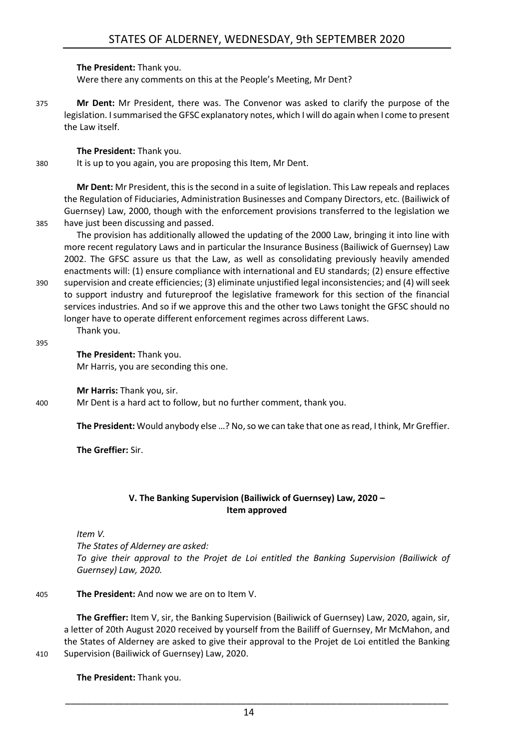**The President:** Thank you.

Were there any comments on this at the People's Meeting, Mr Dent?

375 **Mr Dent:** Mr President, there was. The Convenor was asked to clarify the purpose of the legislation. Isummarised the GFSC explanatory notes, which I will do again when I come to present the Law itself.

**The President:** Thank you.

380 It is up to you again, you are proposing this Item, Mr Dent.

**Mr Dent:** Mr President, this is the second in a suite of legislation. This Law repeals and replaces the Regulation of Fiduciaries, Administration Businesses and Company Directors, etc. (Bailiwick of Guernsey) Law, 2000, though with the enforcement provisions transferred to the legislation we 385 have just been discussing and passed.

The provision has additionally allowed the updating of the 2000 Law, bringing it into line with more recent regulatory Laws and in particular the Insurance Business (Bailiwick of Guernsey) Law 2002. The GFSC assure us that the Law, as well as consolidating previously heavily amended enactments will: (1) ensure compliance with international and EU standards; (2) ensure effective 390 supervision and create efficiencies; (3) eliminate unjustified legal inconsistencies; and (4) will seek to support industry and futureproof the legislative framework for this section of the financial services industries. And so if we approve this and the other two Laws tonight the GFSC should no longer have to operate different enforcement regimes across different Laws. Thank you.

395

**The President:** Thank you. Mr Harris, you are seconding this one.

**Mr Harris:** Thank you, sir.

400 Mr Dent is a hard act to follow, but no further comment, thank you.

**The President:** Would anybody else …? No, so we can take that one as read, I think, Mr Greffier.

**The Greffier:** Sir.

### **V. The Banking Supervision (Bailiwick of Guernsey) Law, 2020 – Item approved**

<span id="page-13-0"></span>*Item V.*

*The States of Alderney are asked: To give their approval to the Projet de Loi entitled the Banking Supervision (Bailiwick of Guernsey) Law, 2020.*

405 **The President:** And now we are on to Item V.

**The Greffier:** Item V, sir, the Banking Supervision (Bailiwick of Guernsey) Law, 2020, again, sir, a letter of 20th August 2020 received by yourself from the Bailiff of Guernsey, Mr McMahon, and the States of Alderney are asked to give their approval to the Projet de Loi entitled the Banking 410 Supervision (Bailiwick of Guernsey) Law, 2020.

**The President:** Thank you.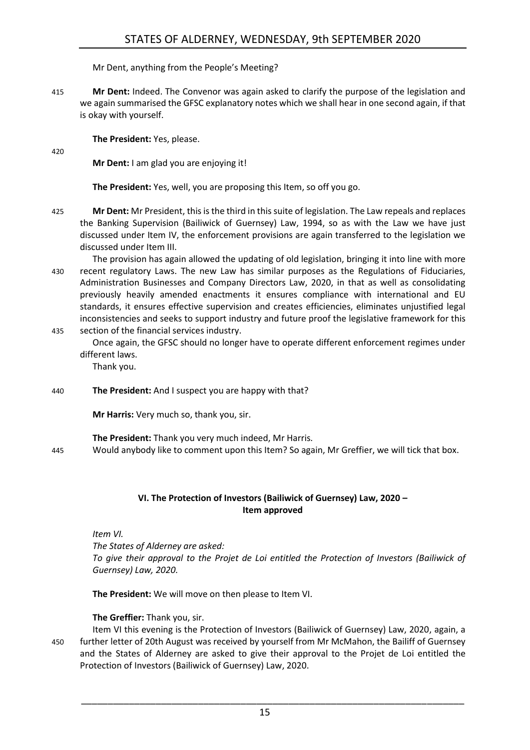Mr Dent, anything from the People's Meeting?

415 **Mr Dent:** Indeed. The Convenor was again asked to clarify the purpose of the legislation and we again summarised the GFSC explanatory notes which we shall hear in one second again, if that is okay with yourself.

**The President:** Yes, please.

420

**Mr Dent:** I am glad you are enjoying it!

**The President:** Yes, well, you are proposing this Item, so off you go.

425 **Mr Dent:** Mr President, this is the third in this suite of legislation. The Law repeals and replaces the Banking Supervision (Bailiwick of Guernsey) Law, 1994, so as with the Law we have just discussed under Item IV, the enforcement provisions are again transferred to the legislation we discussed under Item III.

The provision has again allowed the updating of old legislation, bringing it into line with more 430 recent regulatory Laws. The new Law has similar purposes as the Regulations of Fiduciaries, Administration Businesses and Company Directors Law, 2020, in that as well as consolidating previously heavily amended enactments it ensures compliance with international and EU standards, it ensures effective supervision and creates efficiencies, eliminates unjustified legal inconsistencies and seeks to support industry and future proof the legislative framework for this 435 section of the financial services industry.

Once again, the GFSC should no longer have to operate different enforcement regimes under different laws.

Thank you.

440 **The President:** And I suspect you are happy with that?

**Mr Harris:** Very much so, thank you, sir.

**The President:** Thank you very much indeed, Mr Harris.

445 Would anybody like to comment upon this Item? So again, Mr Greffier, we will tick that box.

### **VI. The Protection of Investors (Bailiwick of Guernsey) Law, 2020 – Item approved**

<span id="page-14-0"></span>*Item VI.*

*The States of Alderney are asked: To give their approval to the Projet de Loi entitled the Protection of Investors (Bailiwick of Guernsey) Law, 2020.*

**The President:** We will move on then please to Item VI.

**The Greffier:** Thank you, sir.

Item VI this evening is the Protection of Investors (Bailiwick of Guernsey) Law, 2020, again, a 450 further letter of 20th August was received by yourself from Mr McMahon, the Bailiff of Guernsey and the States of Alderney are asked to give their approval to the Projet de Loi entitled the Protection of Investors (Bailiwick of Guernsey) Law, 2020.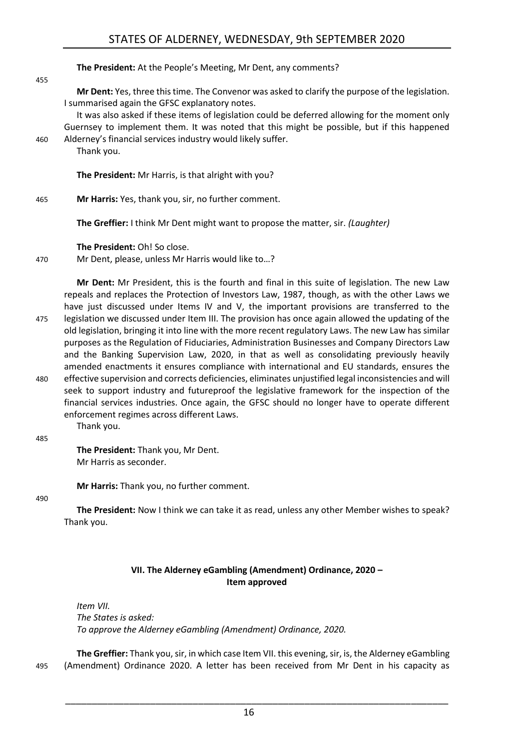### STATES OF ALDERNEY, WEDNESDAY, 9th SEPTEMBER 2020

| 455 | The President: At the People's Meeting, Mr Dent, any comments?                                                                                                                                                                                                                              |
|-----|---------------------------------------------------------------------------------------------------------------------------------------------------------------------------------------------------------------------------------------------------------------------------------------------|
|     | Mr Dent: Yes, three this time. The Convenor was asked to clarify the purpose of the legislation.<br>I summarised again the GFSC explanatory notes.                                                                                                                                          |
| 460 | It was also asked if these items of legislation could be deferred allowing for the moment only<br>Guernsey to implement them. It was noted that this might be possible, but if this happened<br>Alderney's financial services industry would likely suffer.<br>Thank you.                   |
|     |                                                                                                                                                                                                                                                                                             |
|     | The President: Mr Harris, is that alright with you?                                                                                                                                                                                                                                         |
| 465 | Mr Harris: Yes, thank you, sir, no further comment.                                                                                                                                                                                                                                         |
|     | The Greffier: I think Mr Dent might want to propose the matter, sir. (Laughter)                                                                                                                                                                                                             |
|     | The President: Oh! So close.                                                                                                                                                                                                                                                                |
| 470 | Mr Dent, please, unless Mr Harris would like to?                                                                                                                                                                                                                                            |
|     | Mr Dent: Mr President, this is the fourth and final in this suite of legislation. The new Law<br>repeals and replaces the Protection of Investors Law, 1987, though, as with the other Laws we<br>have just discussed under Items IV and V, the important provisions are transferred to the |
| 475 | legislation we discussed under Item III. The provision has once again allowed the updating of the                                                                                                                                                                                           |

475 legislation we discussed under Item III. The provision has once again allowed the updating of the old legislation, bringing it into line with the more recent regulatory Laws. The new Law has similar purposes as the Regulation of Fiduciaries, Administration Businesses and Company Directors Law and the Banking Supervision Law, 2020, in that as well as consolidating previously heavily amended enactments it ensures compliance with international and EU standards, ensures the 480 effective supervision and corrects deficiencies, eliminates unjustified legal inconsistencies and will seek to support industry and futureproof the legislative framework for the inspection of the financial services industries. Once again, the GFSC should no longer have to operate different enforcement regimes across different Laws.

Thank you.

485

**The President:** Thank you, Mr Dent. Mr Harris as seconder.

**Mr Harris:** Thank you, no further comment.

490

**The President:** Now I think we can take it as read, unless any other Member wishes to speak? Thank you.

### **VII. The Alderney eGambling (Amendment) Ordinance, 2020 – Item approved**

<span id="page-15-0"></span>*Item VII. The States is asked: To approve the Alderney eGambling (Amendment) Ordinance, 2020.*

**The Greffier:** Thank you, sir, in which case Item VII. this evening, sir, is, the Alderney eGambling 495 (Amendment) Ordinance 2020. A letter has been received from Mr Dent in his capacity as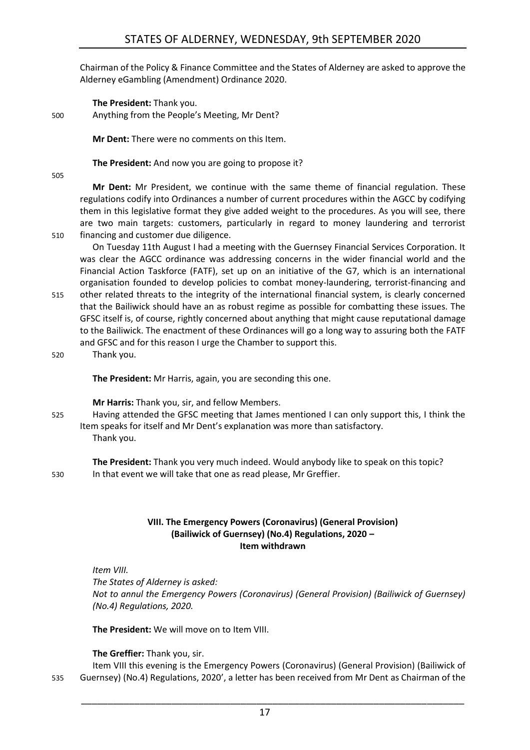Chairman of the Policy & Finance Committee and the States of Alderney are asked to approve the Alderney eGambling (Amendment) Ordinance 2020.

**The President:** Thank you.

500 Anything from the People's Meeting, Mr Dent?

**Mr Dent:** There were no comments on this Item.

**The President:** And now you are going to propose it?

505

**Mr Dent:** Mr President, we continue with the same theme of financial regulation. These regulations codify into Ordinances a number of current procedures within the AGCC by codifying them in this legislative format they give added weight to the procedures. As you will see, there are two main targets: customers, particularly in regard to money laundering and terrorist 510 financing and customer due diligence.

On Tuesday 11th August I had a meeting with the Guernsey Financial Services Corporation. It was clear the AGCC ordinance was addressing concerns in the wider financial world and the Financial Action Taskforce (FATF), set up on an initiative of the G7, which is an international organisation founded to develop policies to combat money-laundering, terrorist-financing and

- 515 other related threats to the integrity of the international financial system, is clearly concerned that the Bailiwick should have an as robust regime as possible for combatting these issues. The GFSC itself is, of course, rightly concerned about anything that might cause reputational damage to the Bailiwick. The enactment of these Ordinances will go a long way to assuring both the FATF and GFSC and for this reason I urge the Chamber to support this.
- 520 Thank you.

**The President:** Mr Harris, again, you are seconding this one.

**Mr Harris:** Thank you, sir, and fellow Members.

525 Having attended the GFSC meeting that James mentioned I can only support this, I think the Item speaks for itself and Mr Dent's explanation was more than satisfactory. Thank you.

**The President:** Thank you very much indeed. Would anybody like to speak on this topic? 530 In that event we will take that one as read please, Mr Greffier.

### **VIII. The Emergency Powers (Coronavirus) (General Provision) (Bailiwick of Guernsey) (No.4) Regulations, 2020 – Item withdrawn**

<span id="page-16-0"></span>*Item VIII.*

*The States of Alderney is asked: Not to annul the Emergency Powers (Coronavirus) (General Provision) (Bailiwick of Guernsey)* 

**The President:** We will move on to Item VIII.

**The Greffier:** Thank you, sir.

*(No.4) Regulations, 2020.*

Item VIII this evening is the Emergency Powers (Coronavirus) (General Provision) (Bailiwick of 535 Guernsey) (No.4) Regulations, 2020', a letter has been received from Mr Dent as Chairman of the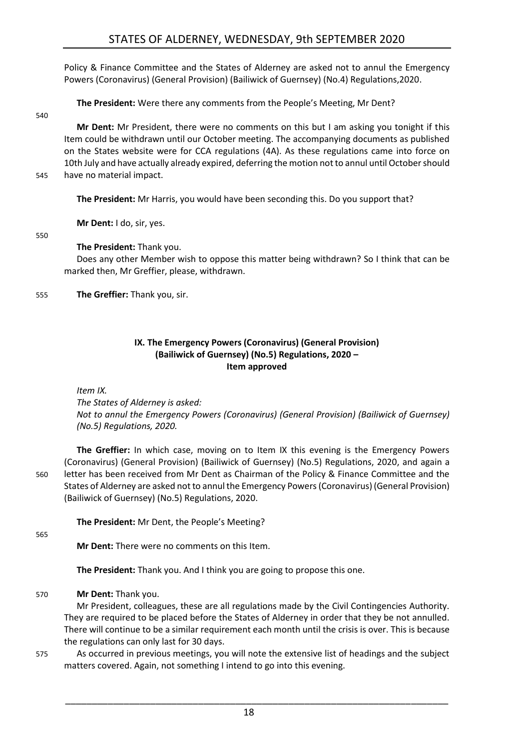Policy & Finance Committee and the States of Alderney are asked not to annul the Emergency Powers (Coronavirus) (General Provision) (Bailiwick of Guernsey) (No.4) Regulations,2020.

**The President:** Were there any comments from the People's Meeting, Mr Dent?

540

**Mr Dent:** Mr President, there were no comments on this but I am asking you tonight if this Item could be withdrawn until our October meeting. The accompanying documents as published on the States website were for CCA regulations (4A). As these regulations came into force on 10th July and have actually already expired, deferring the motion not to annul until October should 545 have no material impact.

**The President:** Mr Harris, you would have been seconding this. Do you support that?

**Mr Dent:** I do, sir, yes.

550

**The President:** Thank you.

Does any other Member wish to oppose this matter being withdrawn? So I think that can be marked then, Mr Greffier, please, withdrawn.

555 **The Greffier:** Thank you, sir.

### **IX. The Emergency Powers (Coronavirus) (General Provision) (Bailiwick of Guernsey) (No.5) Regulations, 2020 – Item approved**

<span id="page-17-0"></span>*Item IX.*

*The States of Alderney is asked:*

*Not to annul the Emergency Powers (Coronavirus) (General Provision) (Bailiwick of Guernsey) (No.5) Regulations, 2020.*

**The Greffier:** In which case, moving on to Item IX this evening is the Emergency Powers (Coronavirus) (General Provision) (Bailiwick of Guernsey) (No.5) Regulations, 2020, and again a 560 letter has been received from Mr Dent as Chairman of the Policy & Finance Committee and the States of Alderney are asked not to annul the Emergency Powers (Coronavirus) (General Provision) (Bailiwick of Guernsey) (No.5) Regulations, 2020.

**The President:** Mr Dent, the People's Meeting?

565

**Mr Dent:** There were no comments on this Item.

**The President:** Thank you. And I think you are going to propose this one.

570 **Mr Dent:** Thank you.

Mr President, colleagues, these are all regulations made by the Civil Contingencies Authority. They are required to be placed before the States of Alderney in order that they be not annulled. There will continue to be a similar requirement each month until the crisis is over. This is because the regulations can only last for 30 days.

575 As occurred in previous meetings, you will note the extensive list of headings and the subject matters covered. Again, not something I intend to go into this evening.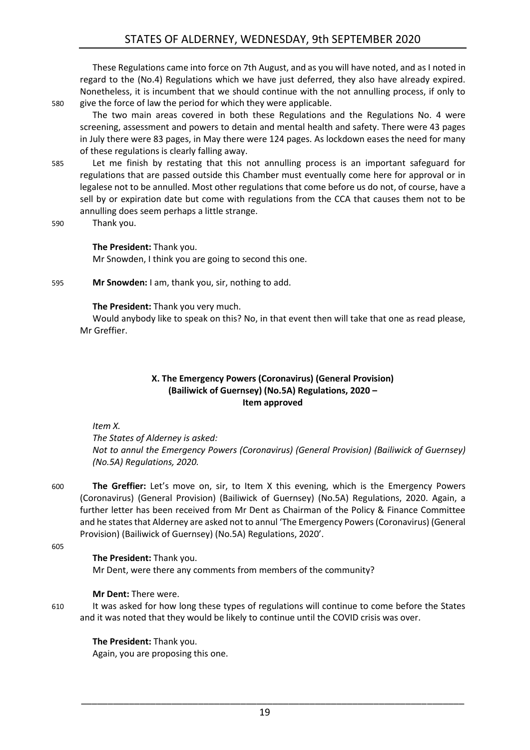These Regulations came into force on 7th August, and as you will have noted, and as I noted in regard to the (No.4) Regulations which we have just deferred, they also have already expired. Nonetheless, it is incumbent that we should continue with the not annulling process, if only to 580 give the force of law the period for which they were applicable.

The two main areas covered in both these Regulations and the Regulations No. 4 were screening, assessment and powers to detain and mental health and safety. There were 43 pages in July there were 83 pages, in May there were 124 pages. As lockdown eases the need for many of these regulations is clearly falling away.

585 Let me finish by restating that this not annulling process is an important safeguard for regulations that are passed outside this Chamber must eventually come here for approval or in legalese not to be annulled. Most other regulations that come before us do not, of course, have a sell by or expiration date but come with regulations from the CCA that causes them not to be annulling does seem perhaps a little strange.

590 Thank you.

**The President:** Thank you.

Mr Snowden, I think you are going to second this one.

595 **Mr Snowden:** I am, thank you, sir, nothing to add.

**The President:** Thank you very much.

Would anybody like to speak on this? No, in that event then will take that one as read please, Mr Greffier.

### **X. The Emergency Powers (Coronavirus) (General Provision) (Bailiwick of Guernsey) (No.5A) Regulations, 2020 – Item approved**

<span id="page-18-0"></span>*Item X.*

*The States of Alderney is asked: Not to annul the Emergency Powers (Coronavirus) (General Provision) (Bailiwick of Guernsey) (No.5A) Regulations, 2020.*

600 **The Greffier:** Let's move on, sir, to Item X this evening, which is the Emergency Powers (Coronavirus) (General Provision) (Bailiwick of Guernsey) (No.5A) Regulations, 2020. Again, a further letter has been received from Mr Dent as Chairman of the Policy & Finance Committee and he states that Alderney are asked not to annul 'The Emergency Powers (Coronavirus) (General Provision) (Bailiwick of Guernsey) (No.5A) Regulations, 2020'.

605

### **The President:** Thank you.

Mr Dent, were there any comments from members of the community?

### **Mr Dent:** There were.

610 It was asked for how long these types of regulations will continue to come before the States and it was noted that they would be likely to continue until the COVID crisis was over.

**The President:** Thank you.

Again, you are proposing this one.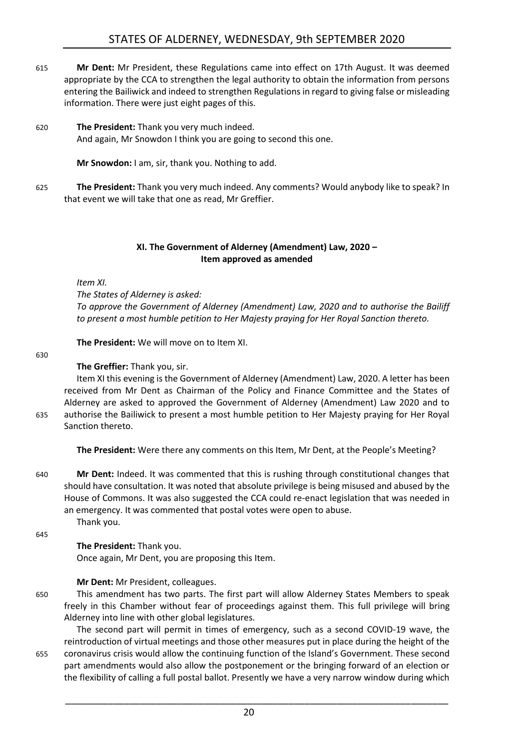- 615 **Mr Dent:** Mr President, these Regulations came into effect on 17th August. It was deemed appropriate by the CCA to strengthen the legal authority to obtain the information from persons entering the Bailiwick and indeed to strengthen Regulations in regard to giving false or misleading information. There were just eight pages of this.
- 620 **The President:** Thank you very much indeed. And again, Mr Snowdon I think you are going to second this one.

**Mr Snowdon:** I am, sir, thank you. Nothing to add.

625 **The President:** Thank you very much indeed. Any comments? Would anybody like to speak? In that event we will take that one as read, Mr Greffier.

### **XI. The Government of Alderney (Amendment) Law, 2020 – Item approved as amended**

<span id="page-19-0"></span>*Item XI.*

*The States of Alderney is asked: To approve the Government of Alderney (Amendment) Law, 2020 and to authorise the Bailiff to present a most humble petition to Her Majesty praying for Her Royal Sanction thereto.*

**The President:** We will move on to Item XI.

#### 630

### **The Greffier:** Thank you, sir.

Item XI this evening is the Government of Alderney (Amendment) Law, 2020. A letter has been received from Mr Dent as Chairman of the Policy and Finance Committee and the States of Alderney are asked to approved the Government of Alderney (Amendment) Law 2020 and to 635 authorise the Bailiwick to present a most humble petition to Her Majesty praying for Her Royal Sanction thereto.

**The President:** Were there any comments on this Item, Mr Dent, at the People's Meeting?

640 **Mr Dent:** Indeed. It was commented that this is rushing through constitutional changes that should have consultation. It was noted that absolute privilege is being misused and abused by the House of Commons. It was also suggested the CCA could re-enact legislation that was needed in an emergency. It was commented that postal votes were open to abuse. Thank you.

645

### **The President:** Thank you.

Once again, Mr Dent, you are proposing this Item.

### **Mr Dent:** Mr President, colleagues.

650 This amendment has two parts. The first part will allow Alderney States Members to speak freely in this Chamber without fear of proceedings against them. This full privilege will bring Alderney into line with other global legislatures.

The second part will permit in times of emergency, such as a second COVID-19 wave, the reintroduction of virtual meetings and those other measures put in place during the height of the 655 coronavirus crisis would allow the continuing function of the Island's Government. These second part amendments would also allow the postponement or the bringing forward of an election or the flexibility of calling a full postal ballot. Presently we have a very narrow window during which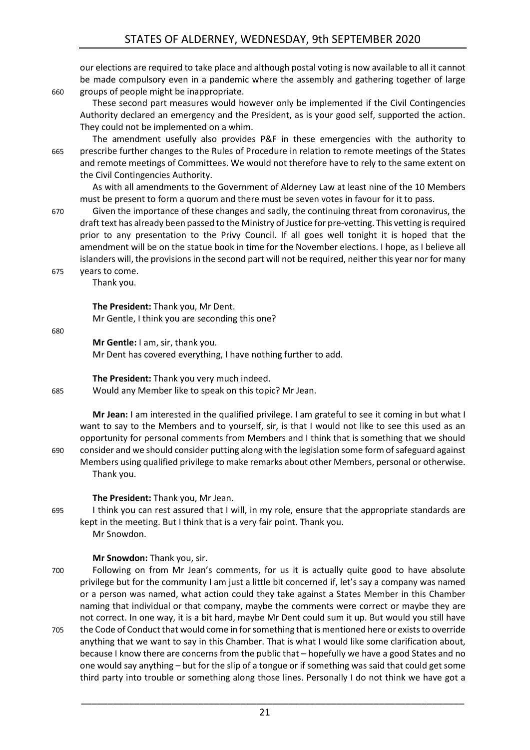our elections are required to take place and although postal voting is now available to all it cannot be made compulsory even in a pandemic where the assembly and gathering together of large

660 groups of people might be inappropriate.

These second part measures would however only be implemented if the Civil Contingencies Authority declared an emergency and the President, as is your good self, supported the action. They could not be implemented on a whim.

The amendment usefully also provides P&F in these emergencies with the authority to 665 prescribe further changes to the Rules of Procedure in relation to remote meetings of the States and remote meetings of Committees. We would not therefore have to rely to the same extent on the Civil Contingencies Authority.

As with all amendments to the Government of Alderney Law at least nine of the 10 Members must be present to form a quorum and there must be seven votes in favour for it to pass.

670 Given the importance of these changes and sadly, the continuing threat from coronavirus, the draft text has already been passed to the Ministry of Justice for pre-vetting. This vetting is required prior to any presentation to the Privy Council. If all goes well tonight it is hoped that the amendment will be on the statue book in time for the November elections. I hope, as I believe all islanders will, the provisions in the second part will not be required, neither this year nor for many 675 years to come.

Thank you.

**The President:** Thank you, Mr Dent. Mr Gentle, I think you are seconding this one?

680

### **Mr Gentle:** I am, sir, thank you.

Mr Dent has covered everything, I have nothing further to add.

**The President:** Thank you very much indeed.

685 Would any Member like to speak on this topic? Mr Jean.

**Mr Jean:** I am interested in the qualified privilege. I am grateful to see it coming in but what I want to say to the Members and to yourself, sir, is that I would not like to see this used as an opportunity for personal comments from Members and I think that is something that we should 690 consider and we should consider putting along with the legislation some form of safeguard against Members using qualified privilege to make remarks about other Members, personal or otherwise. Thank you.

### **The President:** Thank you, Mr Jean.

695 I think you can rest assured that I will, in my role, ensure that the appropriate standards are kept in the meeting. But I think that is a very fair point. Thank you. Mr Snowdon.

### **Mr Snowdon:** Thank you, sir.

700 Following on from Mr Jean's comments, for us it is actually quite good to have absolute privilege but for the community I am just a little bit concerned if, let's say a company was named or a person was named, what action could they take against a States Member in this Chamber naming that individual or that company, maybe the comments were correct or maybe they are not correct. In one way, it is a bit hard, maybe Mr Dent could sum it up. But would you still have 705 the Code of Conduct that would come in for something that is mentioned here or exists to override anything that we want to say in this Chamber. That is what I would like some clarification about, because I know there are concerns from the public that – hopefully we have a good States and no one would say anything – but for the slip of a tongue or if something was said that could get some third party into trouble or something along those lines. Personally I do not think we have got a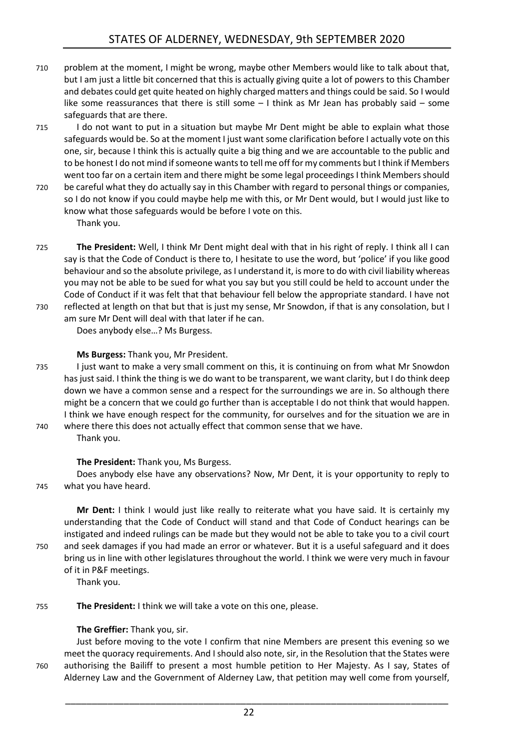- 710 problem at the moment, I might be wrong, maybe other Members would like to talk about that, but I am just a little bit concerned that this is actually giving quite a lot of powers to this Chamber and debates could get quite heated on highly charged matters and things could be said. So I would like some reassurances that there is still some  $-1$  think as Mr Jean has probably said  $-$  some safeguards that are there.
- 715 I do not want to put in a situation but maybe Mr Dent might be able to explain what those safeguards would be. So at the moment I just want some clarification before I actually vote on this one, sir, because I think this is actually quite a big thing and we are accountable to the public and to be honest I do not mind if someone wants to tell me off for my comments but I think if Members went too far on a certain item and there might be some legal proceedings I think Members should
- 720 be careful what they do actually say in this Chamber with regard to personal things or companies, so I do not know if you could maybe help me with this, or Mr Dent would, but I would just like to know what those safeguards would be before I vote on this. Thank you.
- 725 **The President:** Well, I think Mr Dent might deal with that in his right of reply. I think all I can say is that the Code of Conduct is there to, I hesitate to use the word, but 'police' if you like good behaviour and so the absolute privilege, as I understand it, is more to do with civil liability whereas you may not be able to be sued for what you say but you still could be held to account under the Code of Conduct if it was felt that that behaviour fell below the appropriate standard. I have not 730 reflected at length on that but that is just my sense, Mr Snowdon, if that is any consolation, but I
- am sure Mr Dent will deal with that later if he can. Does anybody else…? Ms Burgess.

### **Ms Burgess:** Thank you, Mr President.

- 735 I just want to make a very small comment on this, it is continuing on from what Mr Snowdon has just said. I think the thing is we do want to be transparent, we want clarity, but I do think deep down we have a common sense and a respect for the surroundings we are in. So although there might be a concern that we could go further than is acceptable I do not think that would happen. I think we have enough respect for the community, for ourselves and for the situation we are in 740 where there this does not actually effect that common sense that we have.
	- Thank you.

### **The President:** Thank you, Ms Burgess.

Does anybody else have any observations? Now, Mr Dent, it is your opportunity to reply to 745 what you have heard.

**Mr Dent:** I think I would just like really to reiterate what you have said. It is certainly my understanding that the Code of Conduct will stand and that Code of Conduct hearings can be instigated and indeed rulings can be made but they would not be able to take you to a civil court 750 and seek damages if you had made an error or whatever. But it is a useful safeguard and it does bring us in line with other legislatures throughout the world. I think we were very much in favour of it in P&F meetings.

Thank you.

755 **The President:** I think we will take a vote on this one, please.

### **The Greffier:** Thank you, sir.

Just before moving to the vote I confirm that nine Members are present this evening so we meet the quoracy requirements. And I should also note, sir, in the Resolution that the States were 760 authorising the Bailiff to present a most humble petition to Her Majesty. As I say, States of Alderney Law and the Government of Alderney Law, that petition may well come from yourself,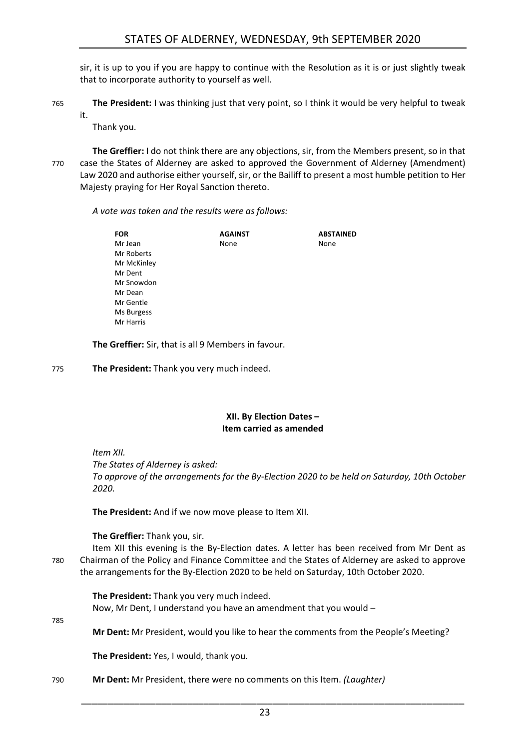sir, it is up to you if you are happy to continue with the Resolution as it is or just slightly tweak that to incorporate authority to yourself as well.

765 **The President:** I was thinking just that very point, so I think it would be very helpful to tweak it.

Thank you.

**The Greffier:** I do not think there are any objections, sir, from the Members present, so in that 770 case the States of Alderney are asked to approved the Government of Alderney (Amendment) Law 2020 and authorise either yourself, sir, or the Bailiff to present a most humble petition to Her Majesty praying for Her Royal Sanction thereto.

*A vote was taken and the results were as follows:*

| <b>FOR</b>  | <b>AGAINST</b> | <b>ABSTAINED</b> |
|-------------|----------------|------------------|
| Mr Jean     | None           | None             |
| Mr Roberts  |                |                  |
| Mr McKinley |                |                  |
| Mr Dent     |                |                  |
| Mr Snowdon  |                |                  |
| Mr Dean     |                |                  |
| Mr Gentle   |                |                  |
| Ms Burgess  |                |                  |
| Mr Harris   |                |                  |

**The Greffier:** Sir, that is all 9 Members in favour.

775 **The President:** Thank you very much indeed.

### **XII. By Election Dates – Item carried as amended**

<span id="page-22-0"></span>*Item XII.*

*The States of Alderney is asked:*

*To approve of the arrangements for the By-Election 2020 to be held on Saturday, 10th October 2020.*

**The President:** And if we now move please to Item XII.

**The Greffier:** Thank you, sir.

Item XII this evening is the By-Election dates. A letter has been received from Mr Dent as 780 Chairman of the Policy and Finance Committee and the States of Alderney are asked to approve the arrangements for the By-Election 2020 to be held on Saturday, 10th October 2020.

**The President:** Thank you very much indeed.

Now, Mr Dent, I understand you have an amendment that you would –

785

**Mr Dent:** Mr President, would you like to hear the comments from the People's Meeting?

**The President:** Yes, I would, thank you.

790 **Mr Dent:** Mr President, there were no comments on this Item. *(Laughter)*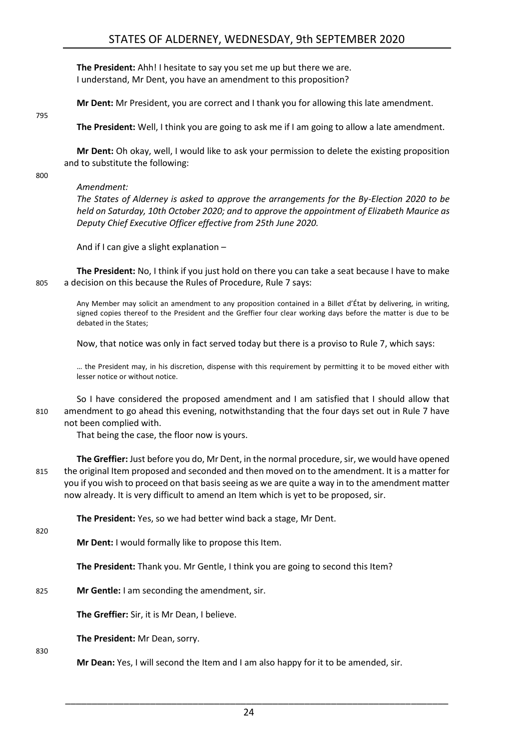**The President:** Ahh! I hesitate to say you set me up but there we are. I understand, Mr Dent, you have an amendment to this proposition?

**Mr Dent:** Mr President, you are correct and I thank you for allowing this late amendment.

795

**The President:** Well, I think you are going to ask me if I am going to allow a late amendment.

**Mr Dent:** Oh okay, well, I would like to ask your permission to delete the existing proposition and to substitute the following:

800

### *Amendment:*

*The States of Alderney is asked to approve the arrangements for the By-Election 2020 to be held on Saturday, 10th October 2020; and to approve the appointment of Elizabeth Maurice as Deputy Chief Executive Officer effective from 25th June 2020.*

And if I can give a slight explanation –

**The President:** No, I think if you just hold on there you can take a seat because I have to make 805 a decision on this because the Rules of Procedure, Rule 7 says:

Any Member may solicit an amendment to any proposition contained in a Billet d'État by delivering, in writing, signed copies thereof to the President and the Greffier four clear working days before the matter is due to be debated in the States;

Now, that notice was only in fact served today but there is a proviso to Rule 7, which says:

… the President may, in his discretion, dispense with this requirement by permitting it to be moved either with lesser notice or without notice.

So I have considered the proposed amendment and I am satisfied that I should allow that 810 amendment to go ahead this evening, notwithstanding that the four days set out in Rule 7 have not been complied with.

That being the case, the floor now is yours.

**The Greffier:** Just before you do, Mr Dent, in the normal procedure, sir, we would have opened 815 the original Item proposed and seconded and then moved on to the amendment. It is a matter for you if you wish to proceed on that basis seeing as we are quite a way in to the amendment matter now already. It is very difficult to amend an Item which is yet to be proposed, sir.

**The President:** Yes, so we had better wind back a stage, Mr Dent.

820

**Mr Dent:** I would formally like to propose this Item.

**The President:** Thank you. Mr Gentle, I think you are going to second this Item?

825 **Mr Gentle:** I am seconding the amendment, sir.

**The Greffier:** Sir, it is Mr Dean, I believe.

**The President:** Mr Dean, sorry.

830

**Mr Dean:** Yes, I will second the Item and I am also happy for it to be amended, sir.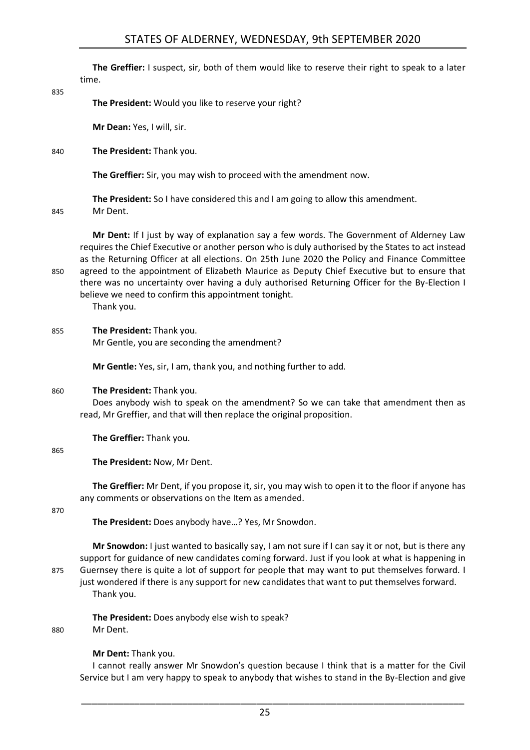**The Greffier:** I suspect, sir, both of them would like to reserve their right to speak to a later time.

835

**The President:** Would you like to reserve your right?

**Mr Dean:** Yes, I will, sir.

840 **The President:** Thank you.

**The Greffier:** Sir, you may wish to proceed with the amendment now.

**The President:** So I have considered this and I am going to allow this amendment. 845 Mr Dent.

**Mr Dent:** If I just by way of explanation say a few words. The Government of Alderney Law requires the Chief Executive or another person who is duly authorised by the States to act instead as the Returning Officer at all elections. On 25th June 2020 the Policy and Finance Committee 850 agreed to the appointment of Elizabeth Maurice as Deputy Chief Executive but to ensure that there was no uncertainty over having a duly authorised Returning Officer for the By-Election I believe we need to confirm this appointment tonight.

Thank you.

### 855 **The President:** Thank you.

Mr Gentle, you are seconding the amendment?

**Mr Gentle:** Yes, sir, I am, thank you, and nothing further to add.

### 860 **The President:** Thank you.

Does anybody wish to speak on the amendment? So we can take that amendment then as read, Mr Greffier, and that will then replace the original proposition.

**The Greffier:** Thank you.

865

**The President:** Now, Mr Dent.

**The Greffier:** Mr Dent, if you propose it, sir, you may wish to open it to the floor if anyone has any comments or observations on the Item as amended.

870

**The President:** Does anybody have…? Yes, Mr Snowdon.

**Mr Snowdon:** I just wanted to basically say, I am not sure if I can say it or not, but is there any support for guidance of new candidates coming forward. Just if you look at what is happening in 875 Guernsey there is quite a lot of support for people that may want to put themselves forward. I just wondered if there is any support for new candidates that want to put themselves forward. Thank you.

**The President:** Does anybody else wish to speak?

880 Mr Dent.

**Mr Dent:** Thank you.

I cannot really answer Mr Snowdon's question because I think that is a matter for the Civil Service but I am very happy to speak to anybody that wishes to stand in the By-Election and give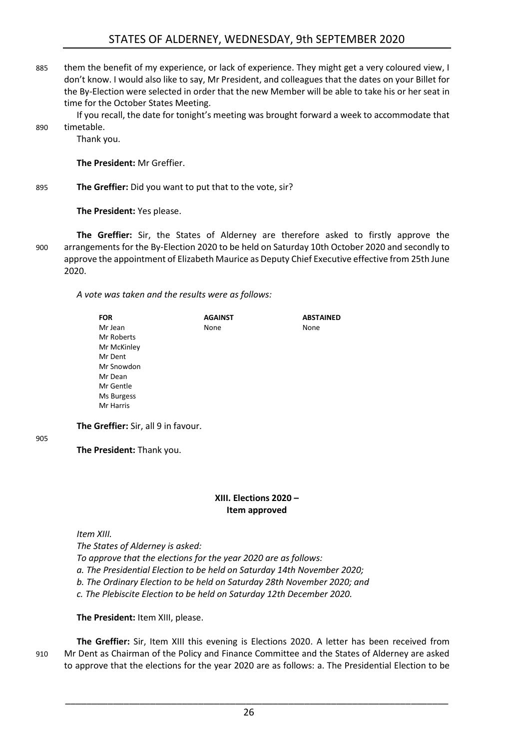885 them the benefit of my experience, or lack of experience. They might get a very coloured view, I don't know. I would also like to say, Mr President, and colleagues that the dates on your Billet for the By-Election were selected in order that the new Member will be able to take his or her seat in time for the October States Meeting.

If you recall, the date for tonight's meeting was brought forward a week to accommodate that 890 timetable.

Thank you.

**The President:** Mr Greffier.

895 **The Greffier:** Did you want to put that to the vote, sir?

**The President:** Yes please.

**The Greffier:** Sir, the States of Alderney are therefore asked to firstly approve the 900 arrangements for the By-Election 2020 to be held on Saturday 10th October 2020 and secondly to approve the appointment of Elizabeth Maurice as Deputy Chief Executive effective from 25th June 2020.

*A vote was taken and the results were as follows:*

| <b>FOR</b>  | <b>AGAINST</b> | <b>ABSTAINED</b> |
|-------------|----------------|------------------|
| Mr Jean     | None           | None             |
| Mr Roberts  |                |                  |
| Mr McKinley |                |                  |
| Mr Dent     |                |                  |
| Mr Snowdon  |                |                  |
| Mr Dean     |                |                  |
| Mr Gentle   |                |                  |
| Ms Burgess  |                |                  |
| Mr Harris   |                |                  |

**The Greffier:** Sir, all 9 in favour.

905

**The President:** Thank you.

### **XIII. Elections 2020 – Item approved**

<span id="page-25-0"></span>*Item XIII.*

*The States of Alderney is asked:*

*To approve that the elections for the year 2020 are as follows:*

*a. The Presidential Election to be held on Saturday 14th November 2020;*

*b. The Ordinary Election to be held on Saturday 28th November 2020; and*

*c. The Plebiscite Election to be held on Saturday 12th December 2020.*

**The President:** Item XIII, please.

**The Greffier:** Sir, Item XIII this evening is Elections 2020. A letter has been received from 910 Mr Dent as Chairman of the Policy and Finance Committee and the States of Alderney are asked to approve that the elections for the year 2020 are as follows: a. The Presidential Election to be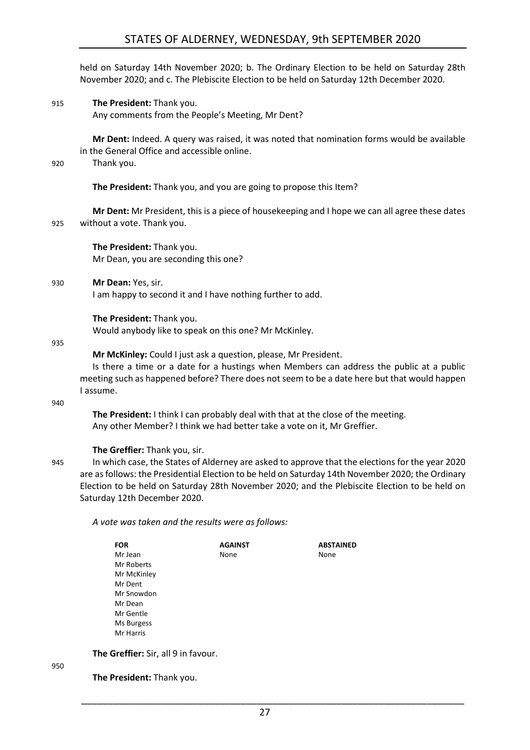### STATES OF ALDERNEY, WEDNESDAY, 9th SEPTEMBER 2020

held on Saturday 14th November 2020; b. The Ordinary Election to be held on Saturday 28th November 2020; and c. The Plebiscite Election to be held on Saturday 12th December 2020.

915 **The President:** Thank you. Any comments from the People's Meeting, Mr Dent?

> **Mr Dent:** Indeed. A query was raised, it was noted that nomination forms would be available in the General Office and accessible online.

920 Thank you.

**The President:** Thank you, and you are going to propose this Item?

**Mr Dent:** Mr President, this is a piece of housekeeping and I hope we can all agree these dates 925 without a vote. Thank you.

**The President:** Thank you. Mr Dean, you are seconding this one?

930 **Mr Dean:** Yes, sir. I am happy to second it and I have nothing further to add.

> **The President:** Thank you. Would anybody like to speak on this one? Mr McKinley.

935

**Mr McKinley:** Could I just ask a question, please, Mr President.

Is there a time or a date for a hustings when Members can address the public at a public meeting such as happened before? There does not seem to be a date here but that would happen I assume.

940

**The President:** I think I can probably deal with that at the close of the meeting. Any other Member? I think we had better take a vote on it, Mr Greffier.

### **The Greffier:** Thank you, sir.

945 In which case, the States of Alderney are asked to approve that the elections for the year 2020 are as follows: the Presidential Election to be held on Saturday 14th November 2020; the Ordinary Election to be held on Saturday 28th November 2020; and the Plebiscite Election to be held on Saturday 12th December 2020.

*A vote was taken and the results were as follows:*

| <b>FOR</b>  | <b>AGAINST</b> | <b>ABSTAINED</b> |
|-------------|----------------|------------------|
| Mr Jean     | None           | None             |
| Mr Roberts  |                |                  |
| Mr McKinley |                |                  |
| Mr Dent     |                |                  |
| Mr Snowdon  |                |                  |
| Mr Dean     |                |                  |
| Mr Gentle   |                |                  |
| Ms Burgess  |                |                  |
| Mr Harris   |                |                  |

**The Greffier:** Sir, all 9 in favour.

950

**The President:** Thank you.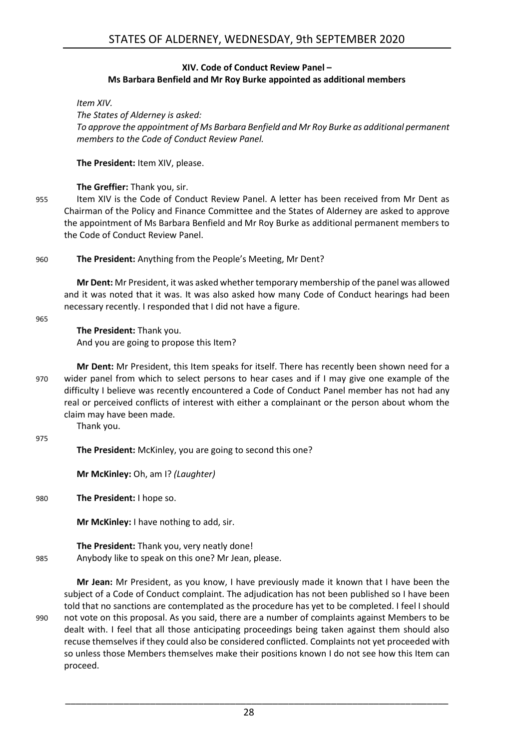### **XIV. Code of Conduct Review Panel – Ms Barbara Benfield and Mr Roy Burke appointed as additional members**

<span id="page-27-0"></span>*Item XIV.*

*The States of Alderney is asked: To approve the appointment of Ms Barbara Benfield and Mr Roy Burke as additional permanent members to the Code of Conduct Review Panel.*

### **The President:** Item XIV, please.

**The Greffier:** Thank you, sir.

955 Item XIV is the Code of Conduct Review Panel. A letter has been received from Mr Dent as Chairman of the Policy and Finance Committee and the States of Alderney are asked to approve the appointment of Ms Barbara Benfield and Mr Roy Burke as additional permanent members to the Code of Conduct Review Panel.

960 **The President:** Anything from the People's Meeting, Mr Dent?

**Mr Dent:** Mr President, it was asked whether temporary membership of the panel was allowed and it was noted that it was. It was also asked how many Code of Conduct hearings had been necessary recently. I responded that I did not have a figure.

965

### **The President:** Thank you.

And you are going to propose this Item?

**Mr Dent:** Mr President, this Item speaks for itself. There has recently been shown need for a 970 wider panel from which to select persons to hear cases and if I may give one example of the difficulty I believe was recently encountered a Code of Conduct Panel member has not had any real or perceived conflicts of interest with either a complainant or the person about whom the claim may have been made.

Thank you.

975

**The President:** McKinley, you are going to second this one?

**Mr McKinley:** Oh, am I? *(Laughter)*

980 **The President:** I hope so.

**Mr McKinley:** I have nothing to add, sir.

**The President:** Thank you, very neatly done! 985 Anybody like to speak on this one? Mr Jean, please.

**Mr Jean:** Mr President, as you know, I have previously made it known that I have been the subject of a Code of Conduct complaint. The adjudication has not been published so I have been told that no sanctions are contemplated as the procedure has yet to be completed. I feel I should 990 not vote on this proposal. As you said, there are a number of complaints against Members to be dealt with. I feel that all those anticipating proceedings being taken against them should also recuse themselves if they could also be considered conflicted. Complaints not yet proceeded with so unless those Members themselves make their positions known I do not see how this Item can proceed.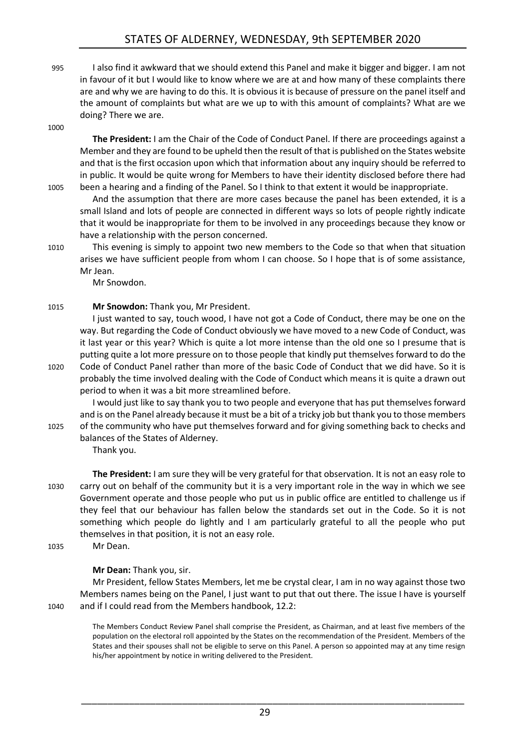995 I also find it awkward that we should extend this Panel and make it bigger and bigger. I am not in favour of it but I would like to know where we are at and how many of these complaints there are and why we are having to do this. It is obvious it is because of pressure on the panel itself and the amount of complaints but what are we up to with this amount of complaints? What are we doing? There we are.

### 1000

**The President:** I am the Chair of the Code of Conduct Panel. If there are proceedings against a Member and they are found to be upheld then the result of that is published on the States website and that is the first occasion upon which that information about any inquiry should be referred to in public. It would be quite wrong for Members to have their identity disclosed before there had 1005 been a hearing and a finding of the Panel. So I think to that extent it would be inappropriate.

And the assumption that there are more cases because the panel has been extended, it is a small Island and lots of people are connected in different ways so lots of people rightly indicate that it would be inappropriate for them to be involved in any proceedings because they know or have a relationship with the person concerned.

1010 This evening is simply to appoint two new members to the Code so that when that situation arises we have sufficient people from whom I can choose. So I hope that is of some assistance, Mr Jean

Mr Snowdon.

### 1015 **Mr Snowdon:** Thank you, Mr President.

I just wanted to say, touch wood, I have not got a Code of Conduct, there may be one on the way. But regarding the Code of Conduct obviously we have moved to a new Code of Conduct, was it last year or this year? Which is quite a lot more intense than the old one so I presume that is putting quite a lot more pressure on to those people that kindly put themselves forward to do the 1020 Code of Conduct Panel rather than more of the basic Code of Conduct that we did have. So it is probably the time involved dealing with the Code of Conduct which means it is quite a drawn out period to when it was a bit more streamlined before.

I would just like to say thank you to two people and everyone that has put themselves forward and is on the Panel already because it must be a bit of a tricky job but thank you to those members 1025 of the community who have put themselves forward and for giving something back to checks and balances of the States of Alderney.

Thank you.

**The President:** I am sure they will be very grateful for that observation. It is not an easy role to 1030 carry out on behalf of the community but it is a very important role in the way in which we see Government operate and those people who put us in public office are entitled to challenge us if they feel that our behaviour has fallen below the standards set out in the Code. So it is not something which people do lightly and I am particularly grateful to all the people who put themselves in that position, it is not an easy role.

1035 Mr Dean.

**Mr Dean:** Thank you, sir.

Mr President, fellow States Members, let me be crystal clear, I am in no way against those two Members names being on the Panel, I just want to put that out there. The issue I have is yourself 1040 and if I could read from the Members handbook, 12.2:

The Members Conduct Review Panel shall comprise the President, as Chairman, and at least five members of the population on the electoral roll appointed by the States on the recommendation of the President. Members of the States and their spouses shall not be eligible to serve on this Panel. A person so appointed may at any time resign his/her appointment by notice in writing delivered to the President.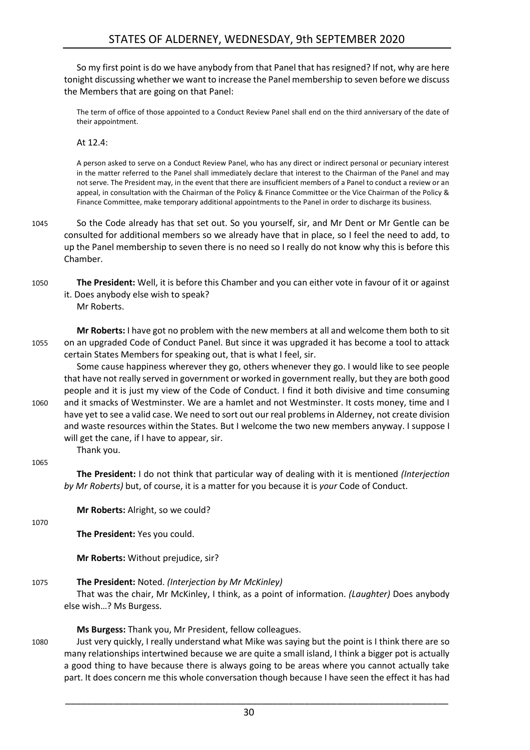So my first point is do we have anybody from that Panel that has resigned? If not, why are here tonight discussing whether we want to increase the Panel membership to seven before we discuss the Members that are going on that Panel:

The term of office of those appointed to a Conduct Review Panel shall end on the third anniversary of the date of their appointment.

At 12.4:

A person asked to serve on a Conduct Review Panel, who has any direct or indirect personal or pecuniary interest in the matter referred to the Panel shall immediately declare that interest to the Chairman of the Panel and may not serve. The President may, in the event that there are insufficient members of a Panel to conduct a review or an appeal, in consultation with the Chairman of the Policy & Finance Committee or the Vice Chairman of the Policy & Finance Committee, make temporary additional appointments to the Panel in order to discharge its business.

- 1045 So the Code already has that set out. So you yourself, sir, and Mr Dent or Mr Gentle can be consulted for additional members so we already have that in place, so I feel the need to add, to up the Panel membership to seven there is no need so I really do not know why this is before this Chamber.
- 1050 **The President:** Well, it is before this Chamber and you can either vote in favour of it or against it. Does anybody else wish to speak? Mr Roberts.

**Mr Roberts:** I have got no problem with the new members at all and welcome them both to sit 1055 on an upgraded Code of Conduct Panel. But since it was upgraded it has become a tool to attack certain States Members for speaking out, that is what I feel, sir.

Some cause happiness wherever they go, others whenever they go. I would like to see people that have not really served in government or worked in government really, but they are both good people and it is just my view of the Code of Conduct. I find it both divisive and time consuming 1060 and it smacks of Westminster. We are a hamlet and not Westminster. It costs money, time and I have yet to see a valid case. We need to sort out our real problems in Alderney, not create division and waste resources within the States. But I welcome the two new members anyway. I suppose I

will get the cane, if I have to appear, sir. Thank you.

1065

**The President:** I do not think that particular way of dealing with it is mentioned *(Interjection by Mr Roberts)* but, of course, it is a matter for you because it is *your* Code of Conduct.

**Mr Roberts:** Alright, so we could?

1070

**The President:** Yes you could.

**Mr Roberts:** Without prejudice, sir?

### 1075 **The President:** Noted. *(Interjection by Mr McKinley)*

That was the chair, Mr McKinley, I think, as a point of information. *(Laughter)* Does anybody else wish…? Ms Burgess.

**Ms Burgess:** Thank you, Mr President, fellow colleagues.

1080 Just very quickly, I really understand what Mike was saying but the point is I think there are so many relationships intertwined because we are quite a small island, I think a bigger pot is actually a good thing to have because there is always going to be areas where you cannot actually take part. It does concern me this whole conversation though because I have seen the effect it has had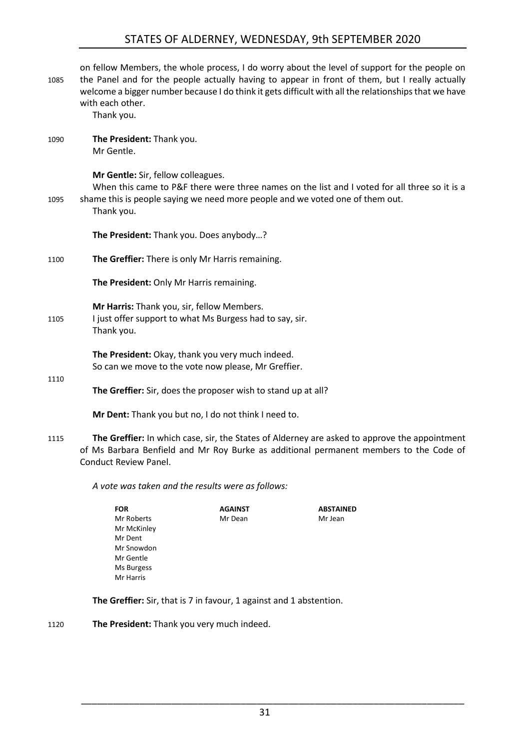### STATES OF ALDERNEY, WEDNESDAY, 9th SEPTEMBER 2020

| 1085 | on fellow Members, the whole process, I do worry about the level of support for the people on<br>the Panel and for the people actually having to appear in front of them, but I really actually<br>welcome a bigger number because I do think it gets difficult with all the relationships that we have<br>with each other.<br>Thank you. |
|------|-------------------------------------------------------------------------------------------------------------------------------------------------------------------------------------------------------------------------------------------------------------------------------------------------------------------------------------------|
| 1090 | The President: Thank you.<br>Mr Gentle.                                                                                                                                                                                                                                                                                                   |
| 1095 | Mr Gentle: Sir, fellow colleagues.<br>When this came to P&F there were three names on the list and I voted for all three so it is a<br>shame this is people saying we need more people and we voted one of them out.<br>Thank you.                                                                                                        |
|      | The President: Thank you. Does anybody?                                                                                                                                                                                                                                                                                                   |
| 1100 | The Greffier: There is only Mr Harris remaining.                                                                                                                                                                                                                                                                                          |
|      | The President: Only Mr Harris remaining.                                                                                                                                                                                                                                                                                                  |
| 1105 | Mr Harris: Thank you, sir, fellow Members.<br>I just offer support to what Ms Burgess had to say, sir.<br>Thank you.                                                                                                                                                                                                                      |
|      | The President: Okay, thank you very much indeed.<br>So can we move to the vote now please, Mr Greffier.                                                                                                                                                                                                                                   |
| 1110 | The Greffier: Sir, does the proposer wish to stand up at all?                                                                                                                                                                                                                                                                             |
|      | Mr Dent: Thank you but no, I do not think I need to.                                                                                                                                                                                                                                                                                      |
| 1115 | The Greffier: In which case, sir, the States of Alderney are asked to approve the appointment<br>of Ms Barbara Benfield and Mr Roy Burke as additional permanent members to the Code of<br>Conduct Review Panel.                                                                                                                          |

*A vote was taken and the results were as follows:*

| <b>FOR</b>  | <b>AGAINST</b> | <b>ABSTAINED</b> |
|-------------|----------------|------------------|
| Mr Roberts  | Mr Dean        | Mr Jean          |
| Mr McKinley |                |                  |
| Mr Dent     |                |                  |
| Mr Snowdon  |                |                  |
| Mr Gentle   |                |                  |
| Ms Burgess  |                |                  |
| Mr Harris   |                |                  |

**The Greffier:** Sir, that is 7 in favour, 1 against and 1 abstention.

1120 **The President:** Thank you very much indeed.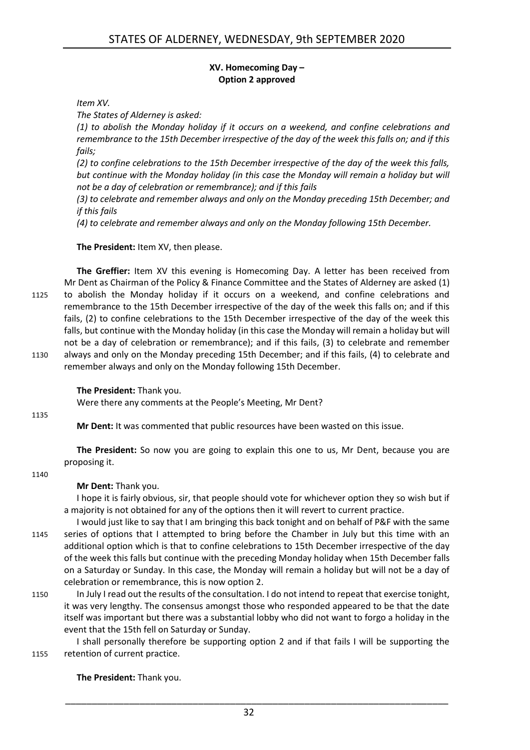### **XV. Homecoming Day – Option 2 approved**

<span id="page-31-0"></span>*Item XV.*

*The States of Alderney is asked:*

*(1) to abolish the Monday holiday if it occurs on a weekend, and confine celebrations and remembrance to the 15th December irrespective of the day of the week this falls on; and if this fails;*

*(2) to confine celebrations to the 15th December irrespective of the day of the week this falls, but continue with the Monday holiday (in this case the Monday will remain a holiday but will not be a day of celebration or remembrance); and if this fails*

*(3) to celebrate and remember always and only on the Monday preceding 15th December; and if this fails*

*(4) to celebrate and remember always and only on the Monday following 15th December.*

**The President:** Item XV, then please.

**The Greffier:** Item XV this evening is Homecoming Day. A letter has been received from Mr Dent as Chairman of the Policy & Finance Committee and the States of Alderney are asked (1) 1125 to abolish the Monday holiday if it occurs on a weekend, and confine celebrations and remembrance to the 15th December irrespective of the day of the week this falls on; and if this fails, (2) to confine celebrations to the 15th December irrespective of the day of the week this falls, but continue with the Monday holiday (in this case the Monday will remain a holiday but will not be a day of celebration or remembrance); and if this fails, (3) to celebrate and remember 1130 always and only on the Monday preceding 15th December; and if this fails, (4) to celebrate and remember always and only on the Monday following 15th December.

**The President:** Thank you.

Were there any comments at the People's Meeting, Mr Dent?

1135

**Mr Dent:** It was commented that public resources have been wasted on this issue.

**The President:** So now you are going to explain this one to us, Mr Dent, because you are proposing it.

1140

### **Mr Dent:** Thank you.

I hope it is fairly obvious, sir, that people should vote for whichever option they so wish but if a majority is not obtained for any of the options then it will revert to current practice.

- I would just like to say that I am bringing this back tonight and on behalf of P&F with the same 1145 series of options that I attempted to bring before the Chamber in July but this time with an additional option which is that to confine celebrations to 15th December irrespective of the day of the week this falls but continue with the preceding Monday holiday when 15th December falls on a Saturday or Sunday. In this case, the Monday will remain a holiday but will not be a day of celebration or remembrance, this is now option 2.
- 1150 In July I read out the results of the consultation. I do not intend to repeat that exercise tonight, it was very lengthy. The consensus amongst those who responded appeared to be that the date itself was important but there was a substantial lobby who did not want to forgo a holiday in the event that the 15th fell on Saturday or Sunday.

I shall personally therefore be supporting option 2 and if that fails I will be supporting the 1155 retention of current practice.

**The President:** Thank you.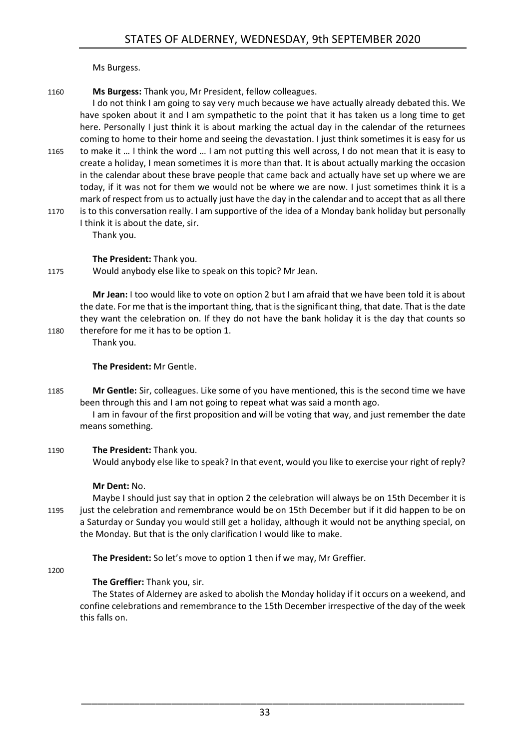Ms Burgess.

1160 **Ms Burgess:** Thank you, Mr President, fellow colleagues.

I do not think I am going to say very much because we have actually already debated this. We have spoken about it and I am sympathetic to the point that it has taken us a long time to get here. Personally I just think it is about marking the actual day in the calendar of the returnees coming to home to their home and seeing the devastation. I just think sometimes it is easy for us

- 1165 to make it … I think the word … I am not putting this well across, I do not mean that it is easy to create a holiday, I mean sometimes it is more than that. It is about actually marking the occasion in the calendar about these brave people that came back and actually have set up where we are today, if it was not for them we would not be where we are now. I just sometimes think it is a mark of respect from us to actually just have the day in the calendar and to accept that as all there
- 1170 is to this conversation really. I am supportive of the idea of a Monday bank holiday but personally I think it is about the date, sir.

Thank you.

**The President:** Thank you.

1175 Would anybody else like to speak on this topic? Mr Jean.

**Mr Jean:** I too would like to vote on option 2 but I am afraid that we have been told it is about the date. For me that is the important thing, that is the significant thing, that date. That is the date they want the celebration on. If they do not have the bank holiday it is the day that counts so 1180 therefore for me it has to be option 1.

Thank you.

### **The President:** Mr Gentle.

1185 **Mr Gentle:** Sir, colleagues. Like some of you have mentioned, this is the second time we have been through this and I am not going to repeat what was said a month ago.

I am in favour of the first proposition and will be voting that way, and just remember the date means something.

1190 **The President:** Thank you.

Would anybody else like to speak? In that event, would you like to exercise your right of reply?

### **Mr Dent:** No.

Maybe I should just say that in option 2 the celebration will always be on 15th December it is 1195 just the celebration and remembrance would be on 15th December but if it did happen to be on a Saturday or Sunday you would still get a holiday, although it would not be anything special, on the Monday. But that is the only clarification I would like to make.

**The President:** So let's move to option 1 then if we may, Mr Greffier.

1200

### **The Greffier:** Thank you, sir.

The States of Alderney are asked to abolish the Monday holiday if it occurs on a weekend, and confine celebrations and remembrance to the 15th December irrespective of the day of the week this falls on.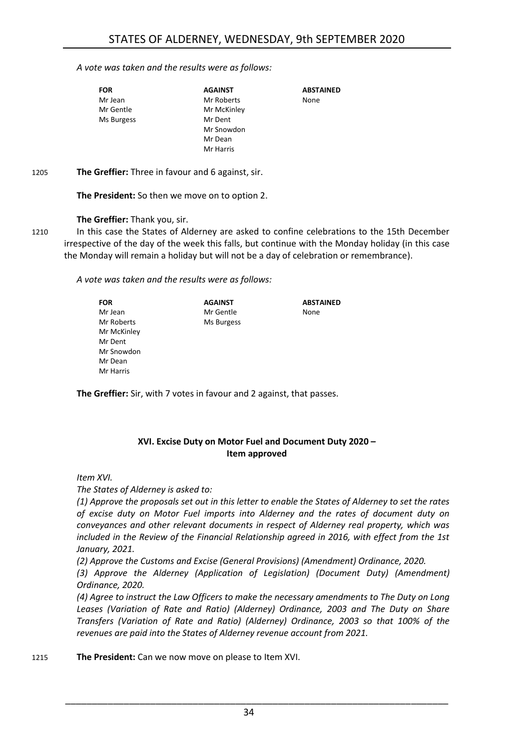*A vote was taken and the results were as follows:*

| <b>FOR</b> | <b>AGAINST</b> | <b>ABSTAINED</b> |
|------------|----------------|------------------|
| Mr Jean    | Mr Roberts     | None             |
| Mr Gentle  | Mr McKinley    |                  |
| Ms Burgess | Mr Dent        |                  |
|            | Mr Snowdon     |                  |
|            | Mr Dean        |                  |
|            | Mr Harris      |                  |

1205 **The Greffier:** Three in favour and 6 against, sir.

**The President:** So then we move on to option 2.

**The Greffier:** Thank you, sir.

1210 In this case the States of Alderney are asked to confine celebrations to the 15th December irrespective of the day of the week this falls, but continue with the Monday holiday (in this case the Monday will remain a holiday but will not be a day of celebration or remembrance).

*A vote was taken and the results were as follows:*

| <b>FOR</b>  | <b>AGAINST</b> | <b>ABSTAINED</b> |
|-------------|----------------|------------------|
| Mr Jean     | Mr Gentle      | None             |
| Mr Roberts  | Ms Burgess     |                  |
| Mr McKinley |                |                  |
| Mr Dent     |                |                  |
| Mr Snowdon  |                |                  |
| Mr Dean     |                |                  |
| Mr Harris   |                |                  |

**The Greffier:** Sir, with 7 votes in favour and 2 against, that passes.

### **XVI. Excise Duty on Motor Fuel and Document Duty 2020 – Item approved**

<span id="page-33-0"></span>*Item XVI.*

*The States of Alderney is asked to:*

*(1) Approve the proposals set out in this letter to enable the States of Alderney to set the rates of excise duty on Motor Fuel imports into Alderney and the rates of document duty on conveyances and other relevant documents in respect of Alderney real property, which was included in the Review of the Financial Relationship agreed in 2016, with effect from the 1st January, 2021.* 

*(2) Approve the Customs and Excise (General Provisions) (Amendment) Ordinance, 2020.* 

*(3) Approve the Alderney (Application of Legislation) (Document Duty) (Amendment) Ordinance, 2020.* 

*(4) Agree to instruct the Law Officers to make the necessary amendments to The Duty on Long Leases (Variation of Rate and Ratio) (Alderney) Ordinance, 2003 and The Duty on Share Transfers (Variation of Rate and Ratio) (Alderney) Ordinance, 2003 so that 100% of the revenues are paid into the States of Alderney revenue account from 2021.* 

1215 **The President:** Can we now move on please to Item XVI.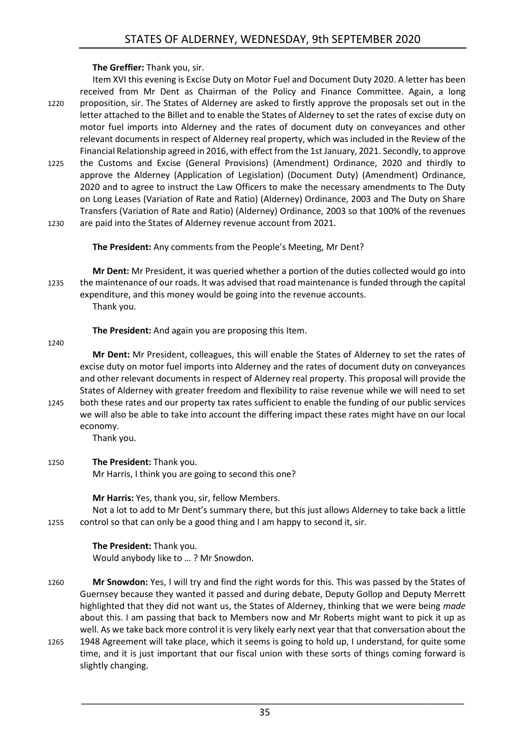### **The Greffier:** Thank you, sir.

Item XVI this evening is Excise Duty on Motor Fuel and Document Duty 2020. A letter has been received from Mr Dent as Chairman of the Policy and Finance Committee. Again, a long 1220 proposition, sir. The States of Alderney are asked to firstly approve the proposals set out in the letter attached to the Billet and to enable the States of Alderney to set the rates of excise duty on motor fuel imports into Alderney and the rates of document duty on conveyances and other relevant documents in respect of Alderney real property, which was included in the Review of the Financial Relationship agreed in 2016, with effect from the 1st January, 2021. Secondly, to approve 1225 the Customs and Excise (General Provisions) (Amendment) Ordinance, 2020 and thirdly to approve the Alderney (Application of Legislation) (Document Duty) (Amendment) Ordinance, 2020 and to agree to instruct the Law Officers to make the necessary amendments to The Duty

on Long Leases (Variation of Rate and Ratio) (Alderney) Ordinance, 2003 and The Duty on Share Transfers (Variation of Rate and Ratio) (Alderney) Ordinance, 2003 so that 100% of the revenues 1230 are paid into the States of Alderney revenue account from 2021.

**The President:** Any comments from the People's Meeting, Mr Dent?

**Mr Dent:** Mr President, it was queried whether a portion of the duties collected would go into 1235 the maintenance of our roads. It was advised that road maintenance is funded through the capital expenditure, and this money would be going into the revenue accounts. Thank you.

**The President:** And again you are proposing this Item.

1240

**Mr Dent:** Mr President, colleagues, this will enable the States of Alderney to set the rates of excise duty on motor fuel imports into Alderney and the rates of document duty on conveyances and other relevant documents in respect of Alderney real property. This proposal will provide the States of Alderney with greater freedom and flexibility to raise revenue while we will need to set 1245 both these rates and our property tax rates sufficient to enable the funding of our public services we will also be able to take into account the differing impact these rates might have on our local economy.

Thank you.

1250 **The President:** Thank you. Mr Harris, I think you are going to second this one?

**Mr Harris:** Yes, thank you, sir, fellow Members.

Not a lot to add to Mr Dent's summary there, but this just allows Alderney to take back a little 1255 control so that can only be a good thing and I am happy to second it, sir.

### **The President:** Thank you.

Would anybody like to … ? Mr Snowdon.

- 1260 **Mr Snowdon:** Yes, I will try and find the right words for this. This was passed by the States of Guernsey because they wanted it passed and during debate, Deputy Gollop and Deputy Merrett highlighted that they did not want us, the States of Alderney, thinking that we were being *made* about this. I am passing that back to Members now and Mr Roberts might want to pick it up as well. As we take back more control it is very likely early next year that that conversation about the 1265 1948 Agreement will take place, which it seems is going to hold up, I understand, for quite some
- time, and it is just important that our fiscal union with these sorts of things coming forward is slightly changing.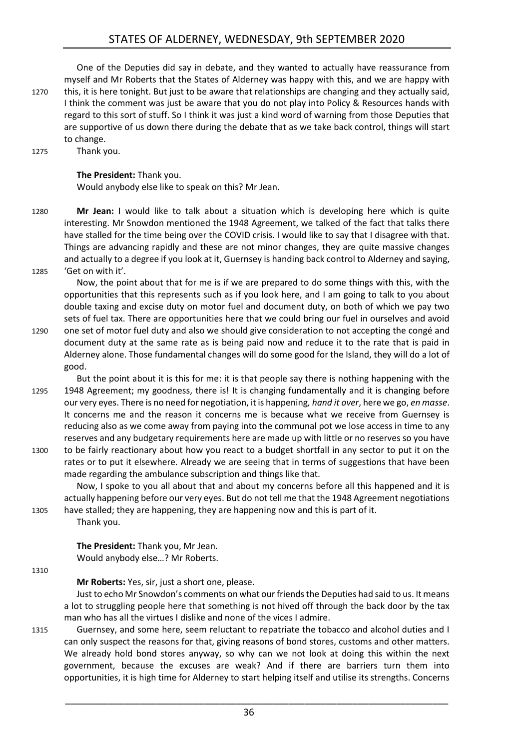### STATES OF ALDERNEY, WEDNESDAY, 9th SEPTEMBER 2020

One of the Deputies did say in debate, and they wanted to actually have reassurance from myself and Mr Roberts that the States of Alderney was happy with this, and we are happy with 1270 this, it is here tonight. But just to be aware that relationships are changing and they actually said, I think the comment was just be aware that you do not play into Policy & Resources hands with regard to this sort of stuff. So I think it was just a kind word of warning from those Deputies that are supportive of us down there during the debate that as we take back control, things will start to change.

1275 Thank you.

**The President:** Thank you. Would anybody else like to speak on this? Mr Jean.

1280 **Mr Jean:** I would like to talk about a situation which is developing here which is quite interesting. Mr Snowdon mentioned the 1948 Agreement, we talked of the fact that talks there have stalled for the time being over the COVID crisis. I would like to say that I disagree with that. Things are advancing rapidly and these are not minor changes, they are quite massive changes and actually to a degree if you look at it, Guernsey is handing back control to Alderney and saying, 1285 'Get on with it'.

Now, the point about that for me is if we are prepared to do some things with this, with the opportunities that this represents such as if you look here, and I am going to talk to you about double taxing and excise duty on motor fuel and document duty, on both of which we pay two sets of fuel tax. There are opportunities here that we could bring our fuel in ourselves and avoid

- 1290 one set of motor fuel duty and also we should give consideration to not accepting the congé and document duty at the same rate as is being paid now and reduce it to the rate that is paid in Alderney alone. Those fundamental changes will do some good for the Island, they will do a lot of good.
- But the point about it is this for me: it is that people say there is nothing happening with the 1295 1948 Agreement; my goodness, there is! It is changing fundamentally and it is changing before our very eyes. There is no need for negotiation, it is happening*, hand it over*, here we go, *en masse*. It concerns me and the reason it concerns me is because what we receive from Guernsey is reducing also as we come away from paying into the communal pot we lose access in time to any reserves and any budgetary requirements here are made up with little or no reserves so you have
- 1300 to be fairly reactionary about how you react to a budget shortfall in any sector to put it on the rates or to put it elsewhere. Already we are seeing that in terms of suggestions that have been made regarding the ambulance subscription and things like that.

Now, I spoke to you all about that and about my concerns before all this happened and it is actually happening before our very eyes. But do not tell me that the 1948 Agreement negotiations 1305 have stalled; they are happening, they are happening now and this is part of it.

Thank you.

**The President:** Thank you, Mr Jean. Would anybody else…? Mr Roberts.

1310

**Mr Roberts:** Yes, sir, just a short one, please.

Just to echo Mr Snowdon's comments on what our friends the Deputies had said to us. It means a lot to struggling people here that something is not hived off through the back door by the tax man who has all the virtues I dislike and none of the vices I admire.

1315 Guernsey, and some here, seem reluctant to repatriate the tobacco and alcohol duties and I can only suspect the reasons for that, giving reasons of bond stores, customs and other matters. We already hold bond stores anyway, so why can we not look at doing this within the next government, because the excuses are weak? And if there are barriers turn them into opportunities, it is high time for Alderney to start helping itself and utilise its strengths. Concerns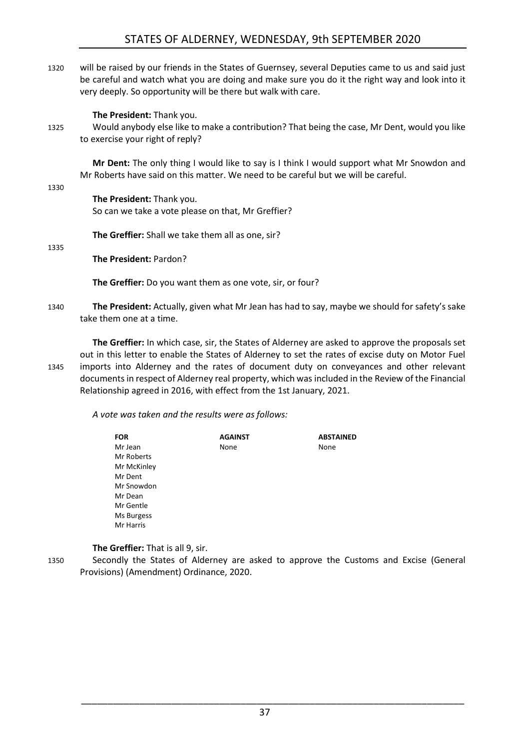1320 will be raised by our friends in the States of Guernsey, several Deputies came to us and said just be careful and watch what you are doing and make sure you do it the right way and look into it very deeply. So opportunity will be there but walk with care.

### **The President:** Thank you.

1325 Would anybody else like to make a contribution? That being the case, Mr Dent, would you like to exercise your right of reply?

**Mr Dent:** The only thing I would like to say is I think I would support what Mr Snowdon and Mr Roberts have said on this matter. We need to be careful but we will be careful.

1330

**The President:** Thank you.

So can we take a vote please on that, Mr Greffier?

**The Greffier:** Shall we take them all as one, sir?

1335

**The President:** Pardon?

**The Greffier:** Do you want them as one vote, sir, or four?

1340 **The President:** Actually, given what Mr Jean has had to say, maybe we should for safety's sake take them one at a time.

**The Greffier:** In which case, sir, the States of Alderney are asked to approve the proposals set out in this letter to enable the States of Alderney to set the rates of excise duty on Motor Fuel 1345 imports into Alderney and the rates of document duty on conveyances and other relevant documents in respect of Alderney real property, which was included in the Review of the Financial Relationship agreed in 2016, with effect from the 1st January, 2021.

*A vote was taken and the results were as follows:*

| <b>FOR</b>  | <b>AGAINST</b> | <b>ABSTAINED</b> |
|-------------|----------------|------------------|
| Mr Jean     | None           | None             |
| Mr Roberts  |                |                  |
| Mr McKinley |                |                  |
| Mr Dent     |                |                  |
| Mr Snowdon  |                |                  |
| Mr Dean     |                |                  |
| Mr Gentle   |                |                  |
| Ms Burgess  |                |                  |
| Mr Harris   |                |                  |

**The Greffier:** That is all 9, sir.

1350 Secondly the States of Alderney are asked to approve the Customs and Excise (General Provisions) (Amendment) Ordinance, 2020.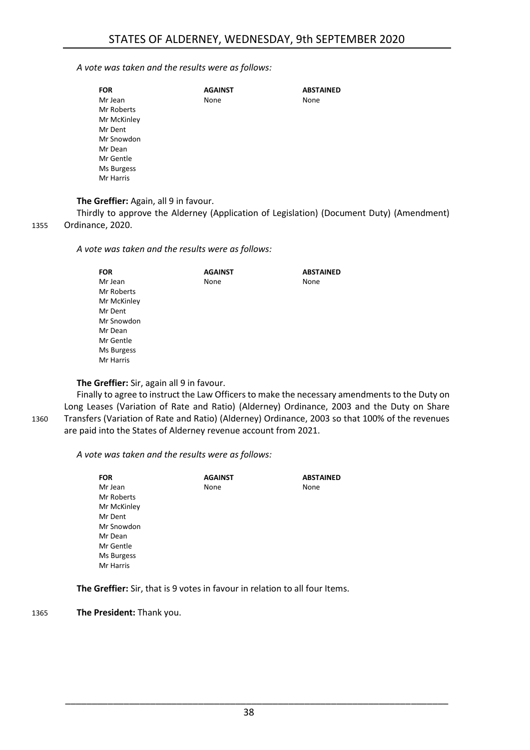### *A vote was taken and the results were as follows:*

| <b>FOR</b>  | <b>AGAINST</b> | <b>ABSTAINED</b> |
|-------------|----------------|------------------|
| Mr Jean     | None           | None             |
| Mr Roberts  |                |                  |
| Mr McKinley |                |                  |
| Mr Dent     |                |                  |
| Mr Snowdon  |                |                  |
| Mr Dean     |                |                  |
| Mr Gentle   |                |                  |
| Ms Burgess  |                |                  |
| Mr Harris   |                |                  |
|             |                |                  |

### **The Greffier:** Again, all 9 in favour.

Thirdly to approve the Alderney (Application of Legislation) (Document Duty) (Amendment) 1355 Ordinance, 2020.

*A vote was taken and the results were as follows:*

| <b>FOR</b>  | <b>AGAINST</b> | <b>ABSTAINED</b> |
|-------------|----------------|------------------|
| Mr Jean     | None           | None             |
| Mr Roberts  |                |                  |
| Mr McKinley |                |                  |
| Mr Dent     |                |                  |
| Mr Snowdon  |                |                  |
| Mr Dean     |                |                  |
| Mr Gentle   |                |                  |
| Ms Burgess  |                |                  |
| Mr Harris   |                |                  |

**The Greffier:** Sir, again all 9 in favour.

Finally to agree to instruct the Law Officers to make the necessary amendments to the Duty on Long Leases (Variation of Rate and Ratio) (Alderney) Ordinance, 2003 and the Duty on Share 1360 Transfers (Variation of Rate and Ratio) (Alderney) Ordinance, 2003 so that 100% of the revenues are paid into the States of Alderney revenue account from 2021.

*A vote was taken and the results were as follows:*

| <b>FOR</b>  | <b>AGAINST</b> | <b>ABSTAINED</b> |
|-------------|----------------|------------------|
| Mr Jean     | None           | None             |
| Mr Roberts  |                |                  |
| Mr McKinley |                |                  |
| Mr Dent     |                |                  |
| Mr Snowdon  |                |                  |
| Mr Dean     |                |                  |
| Mr Gentle   |                |                  |
| Ms Burgess  |                |                  |
| Mr Harris   |                |                  |

**The Greffier:** Sir, that is 9 votes in favour in relation to all four Items.

1365 **The President:** Thank you.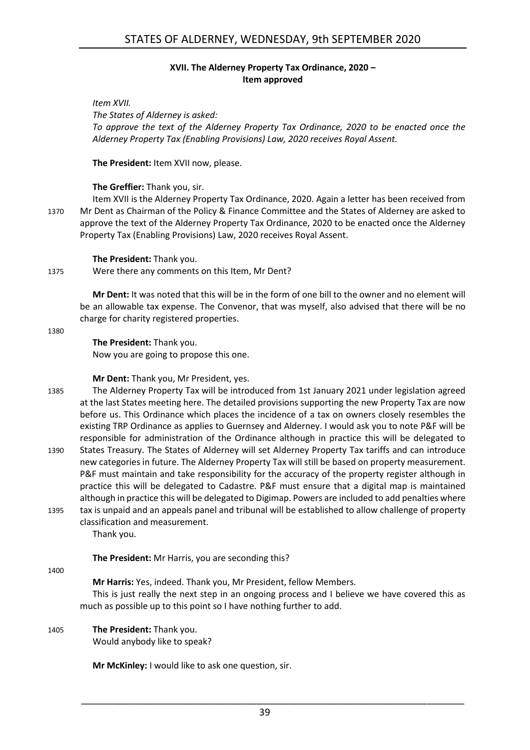### **XVII. The Alderney Property Tax Ordinance, 2020 – Item approved**

<span id="page-38-0"></span>*Item XVII.*

*The States of Alderney is asked: To approve the text of the Alderney Property Tax Ordinance, 2020 to be enacted once the Alderney Property Tax (Enabling Provisions) Law, 2020 receives Royal Assent.*

### **The President:** Item XVII now, please.

**The Greffier:** Thank you, sir.

Item XVII is the Alderney Property Tax Ordinance, 2020. Again a letter has been received from 1370 Mr Dent as Chairman of the Policy & Finance Committee and the States of Alderney are asked to approve the text of the Alderney Property Tax Ordinance, 2020 to be enacted once the Alderney Property Tax (Enabling Provisions) Law, 2020 receives Royal Assent.

**The President:** Thank you.

1375 Were there any comments on this Item, Mr Dent?

**Mr Dent:** It was noted that this will be in the form of one bill to the owner and no element will be an allowable tax expense. The Convenor, that was myself, also advised that there will be no charge for charity registered properties.

1380

### **The President:** Thank you.

Now you are going to propose this one.

**Mr Dent:** Thank you, Mr President, yes.

1385 The Alderney Property Tax will be introduced from 1st January 2021 under legislation agreed at the last States meeting here. The detailed provisions supporting the new Property Tax are now before us. This Ordinance which places the incidence of a tax on owners closely resembles the existing TRP Ordinance as applies to Guernsey and Alderney. I would ask you to note P&F will be responsible for administration of the Ordinance although in practice this will be delegated to 1390 States Treasury. The States of Alderney will set Alderney Property Tax tariffs and can introduce new categories in future. The Alderney Property Tax will still be based on property measurement. P&F must maintain and take responsibility for the accuracy of the property register although in practice this will be delegated to Cadastre. P&F must ensure that a digital map is maintained although in practice this will be delegated to Digimap. Powers are included to add penalties where 1395 tax is unpaid and an appeals panel and tribunal will be established to allow challenge of property

classification and measurement. Thank you.

### **The President:** Mr Harris, you are seconding this?

1400

**Mr Harris:** Yes, indeed. Thank you, Mr President, fellow Members.

This is just really the next step in an ongoing process and I believe we have covered this as much as possible up to this point so I have nothing further to add.

### 1405 **The President:** Thank you.

Would anybody like to speak?

**Mr McKinley:** I would like to ask one question, sir.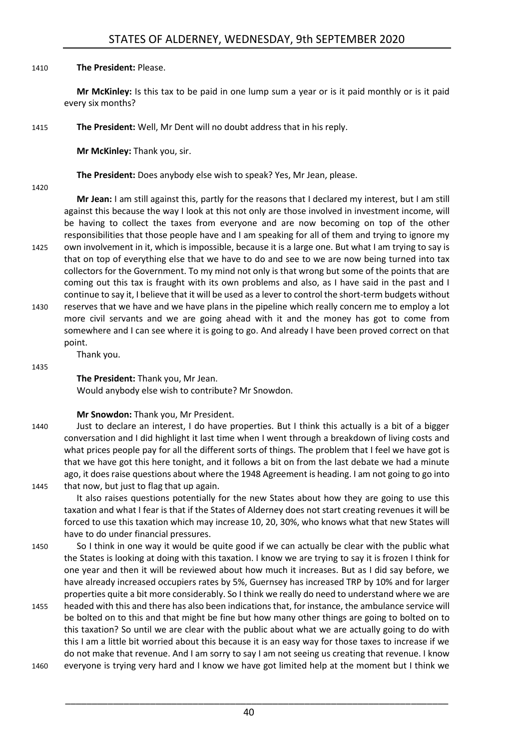### 1410 **The President:** Please.

**Mr McKinley:** Is this tax to be paid in one lump sum a year or is it paid monthly or is it paid every six months?

1415 **The President:** Well, Mr Dent will no doubt address that in his reply.

**Mr McKinley:** Thank you, sir.

**The President:** Does anybody else wish to speak? Yes, Mr Jean, please.

1420

**Mr Jean:** I am still against this, partly for the reasons that I declared my interest, but I am still against this because the way I look at this not only are those involved in investment income, will be having to collect the taxes from everyone and are now becoming on top of the other responsibilities that those people have and I am speaking for all of them and trying to ignore my 1425 own involvement in it, which is impossible, because it is a large one. But what I am trying to say is that on top of everything else that we have to do and see to we are now being turned into tax collectors for the Government. To my mind not only is that wrong but some of the points that are coming out this tax is fraught with its own problems and also, as I have said in the past and I continue to say it, I believe that it will be used as a lever to control the short-term budgets without 1430 reserves that we have and we have plans in the pipeline which really concern me to employ a lot

more civil servants and we are going ahead with it and the money has got to come from somewhere and I can see where it is going to go. And already I have been proved correct on that point.

Thank you.

### 1435

**The President:** Thank you, Mr Jean. Would anybody else wish to contribute? Mr Snowdon.

### **Mr Snowdon:** Thank you, Mr President.

1440 Just to declare an interest, I do have properties. But I think this actually is a bit of a bigger conversation and I did highlight it last time when I went through a breakdown of living costs and what prices people pay for all the different sorts of things. The problem that I feel we have got is that we have got this here tonight, and it follows a bit on from the last debate we had a minute ago, it does raise questions about where the 1948 Agreement is heading. I am not going to go into 1445 that now, but just to flag that up again.

It also raises questions potentially for the new States about how they are going to use this taxation and what I fear is that if the States of Alderney does not start creating revenues it will be forced to use this taxation which may increase 10, 20, 30%, who knows what that new States will have to do under financial pressures.

- 1450 So I think in one way it would be quite good if we can actually be clear with the public what the States is looking at doing with this taxation. I know we are trying to say it is frozen I think for one year and then it will be reviewed about how much it increases. But as I did say before, we have already increased occupiers rates by 5%, Guernsey has increased TRP by 10% and for larger properties quite a bit more considerably. So I think we really do need to understand where we are
- 1455 headed with this and there has also been indications that, for instance, the ambulance service will be bolted on to this and that might be fine but how many other things are going to bolted on to this taxation? So until we are clear with the public about what we are actually going to do with this I am a little bit worried about this because it is an easy way for those taxes to increase if we do not make that revenue. And I am sorry to say I am not seeing us creating that revenue. I know
- 1460 everyone is trying very hard and I know we have got limited help at the moment but I think we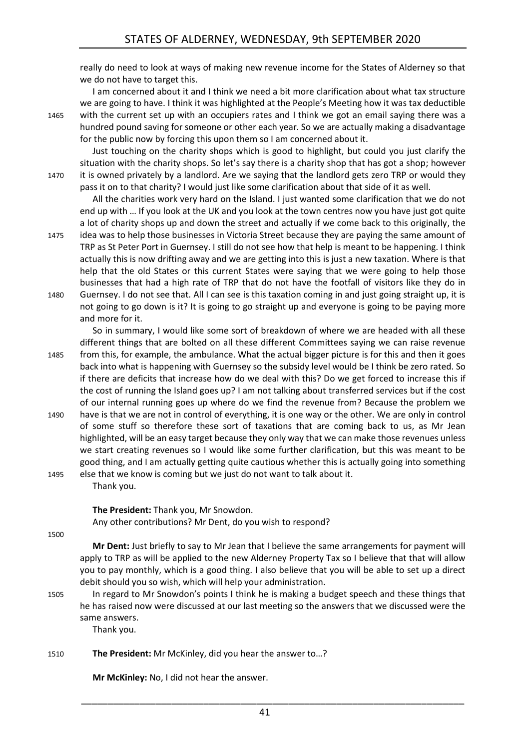really do need to look at ways of making new revenue income for the States of Alderney so that we do not have to target this.

I am concerned about it and I think we need a bit more clarification about what tax structure we are going to have. I think it was highlighted at the People's Meeting how it was tax deductible 1465 with the current set up with an occupiers rates and I think we got an email saying there was a hundred pound saving for someone or other each year. So we are actually making a disadvantage for the public now by forcing this upon them so I am concerned about it.

Just touching on the charity shops which is good to highlight, but could you just clarify the situation with the charity shops. So let's say there is a charity shop that has got a shop; however 1470 it is owned privately by a landlord. Are we saying that the landlord gets zero TRP or would they pass it on to that charity? I would just like some clarification about that side of it as well.

All the charities work very hard on the Island. I just wanted some clarification that we do not end up with … If you look at the UK and you look at the town centres now you have just got quite a lot of charity shops up and down the street and actually if we come back to this originally, the

1475 idea was to help those businesses in Victoria Street because they are paying the same amount of TRP as St Peter Port in Guernsey. I still do not see how that help is meant to be happening. I think actually this is now drifting away and we are getting into this is just a new taxation. Where is that help that the old States or this current States were saying that we were going to help those businesses that had a high rate of TRP that do not have the footfall of visitors like they do in 1480 Guernsey. I do not see that. All I can see is this taxation coming in and just going straight up, it is

not going to go down is it? It is going to go straight up and everyone is going to be paying more and more for it.

So in summary, I would like some sort of breakdown of where we are headed with all these different things that are bolted on all these different Committees saying we can raise revenue 1485 from this, for example, the ambulance. What the actual bigger picture is for this and then it goes back into what is happening with Guernsey so the subsidy level would be I think be zero rated. So if there are deficits that increase how do we deal with this? Do we get forced to increase this if the cost of running the Island goes up? I am not talking about transferred services but if the cost of our internal running goes up where do we find the revenue from? Because the problem we

1490 have is that we are not in control of everything, it is one way or the other. We are only in control of some stuff so therefore these sort of taxations that are coming back to us, as Mr Jean highlighted, will be an easy target because they only way that we can make those revenues unless we start creating revenues so I would like some further clarification, but this was meant to be good thing, and I am actually getting quite cautious whether this is actually going into something 1495 else that we know is coming but we just do not want to talk about it.

Thank you.

**The President:** Thank you, Mr Snowdon. Any other contributions? Mr Dent, do you wish to respond?

1500

**Mr Dent:** Just briefly to say to Mr Jean that I believe the same arrangements for payment will apply to TRP as will be applied to the new Alderney Property Tax so I believe that that will allow you to pay monthly, which is a good thing. I also believe that you will be able to set up a direct debit should you so wish, which will help your administration.

1505 In regard to Mr Snowdon's points I think he is making a budget speech and these things that he has raised now were discussed at our last meeting so the answers that we discussed were the same answers.

Thank you.

### 1510 **The President:** Mr McKinley, did you hear the answer to…?

**Mr McKinley:** No, I did not hear the answer.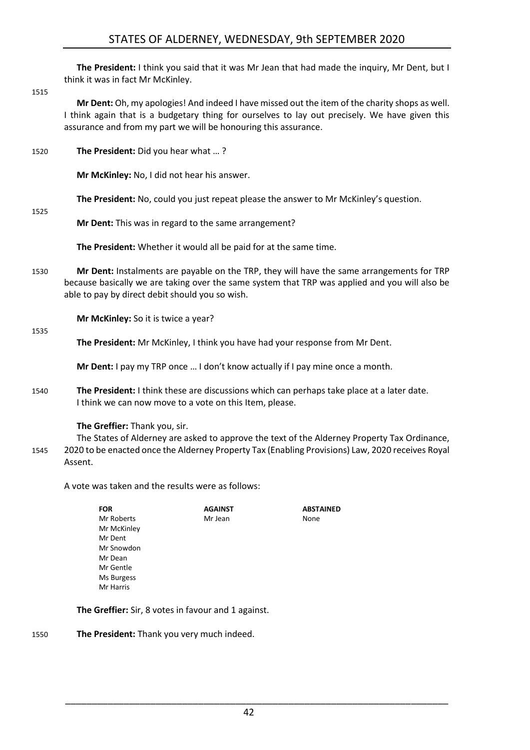### STATES OF ALDERNEY, WEDNESDAY, 9th SEPTEMBER 2020

**The President:** I think you said that it was Mr Jean that had made the inquiry, Mr Dent, but I think it was in fact Mr McKinley.

1515

**Mr Dent:** Oh, my apologies! And indeed I have missed out the item of the charity shops as well. I think again that is a budgetary thing for ourselves to lay out precisely. We have given this assurance and from my part we will be honouring this assurance.

1520 **The President:** Did you hear what … ?

**Mr McKinley:** No, I did not hear his answer.

**The President:** No, could you just repeat please the answer to Mr McKinley's question.

1525

**Mr Dent:** This was in regard to the same arrangement?

**The President:** Whether it would all be paid for at the same time.

1530 **Mr Dent:** Instalments are payable on the TRP, they will have the same arrangements for TRP because basically we are taking over the same system that TRP was applied and you will also be able to pay by direct debit should you so wish.

**Mr McKinley:** So it is twice a year?

1535

**The President:** Mr McKinley, I think you have had your response from Mr Dent.

**Mr Dent:** I pay my TRP once … I don't know actually if I pay mine once a month.

1540 **The President:** I think these are discussions which can perhaps take place at a later date. I think we can now move to a vote on this Item, please.

**The Greffier:** Thank you, sir.

The States of Alderney are asked to approve the text of the Alderney Property Tax Ordinance, 1545 2020 to be enacted once the Alderney Property Tax (Enabling Provisions) Law, 2020 receives Royal Assent.

A vote was taken and the results were as follows:

| <b>FOR</b>  | <b>AGAINST</b> | <b>ABSTAINED</b> |
|-------------|----------------|------------------|
| Mr Roberts  | Mr Jean        | None             |
| Mr McKinley |                |                  |
| Mr Dent     |                |                  |
| Mr Snowdon  |                |                  |
| Mr Dean     |                |                  |
| Mr Gentle   |                |                  |
| Ms Burgess  |                |                  |
| Mr Harris   |                |                  |
|             |                |                  |

**The Greffier:** Sir, 8 votes in favour and 1 against.

1550 **The President:** Thank you very much indeed.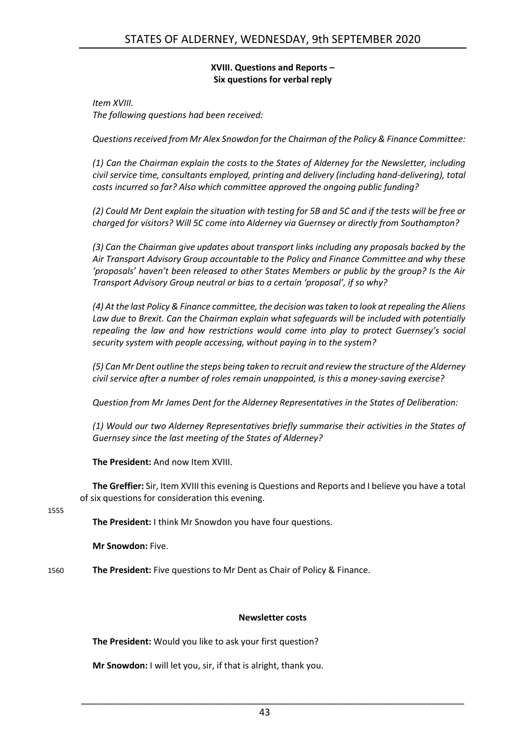### **XVIII. Questions and Reports – Six questions for verbal reply**

<span id="page-42-0"></span>*Item XVIII. The following questions had been received:*

*Questions received from Mr Alex Snowdon for the Chairman of the Policy & Finance Committee:*

*(1) Can the Chairman explain the costs to the States of Alderney for the Newsletter, including civil service time, consultants employed, printing and delivery (including hand-delivering), total costs incurred so far? Also which committee approved the ongoing public funding?* 

*(2) Could Mr Dent explain the situation with testing for 5B and 5C and if the tests will be free or charged for visitors? Will 5C come into Alderney via Guernsey or directly from Southampton?* 

*(3) Can the Chairman give updates about transport links including any proposals backed by the Air Transport Advisory Group accountable to the Policy and Finance Committee and why these 'proposals' haven't been released to other States Members or public by the group? Is the Air Transport Advisory Group neutral or bias to a certain 'proposal', if so why?*

*(4) At the last Policy & Finance committee, the decision was taken to look at repealing the Aliens Law due to Brexit. Can the Chairman explain what safeguards will be included with potentially repealing the law and how restrictions would come into play to protect Guernsey's social security system with people accessing, without paying in to the system?*

*(5) Can Mr Dent outline the steps being taken to recruit and review the structure of the Alderney civil service after a number of roles remain unappointed, is this a money-saving exercise?*

*Question from Mr James Dent for the Alderney Representatives in the States of Deliberation:*

*(1) Would our two Alderney Representatives briefly summarise their activities in the States of Guernsey since the last meeting of the States of Alderney?*

**The President:** And now Item XVIII.

**The Greffier:** Sir, Item XVIII this evening is Questions and Reports and I believe you have a total of six questions for consideration this evening.

1555

**The President:** I think Mr Snowdon you have four questions.

**Mr Snowdon:** Five.

1560 **The President:** Five questions to Mr Dent as Chair of Policy & Finance.

### **Newsletter costs**

<span id="page-42-1"></span>**The President:** Would you like to ask your first question?

**Mr Snowdon:** I will let you, sir, if that is alright, thank you.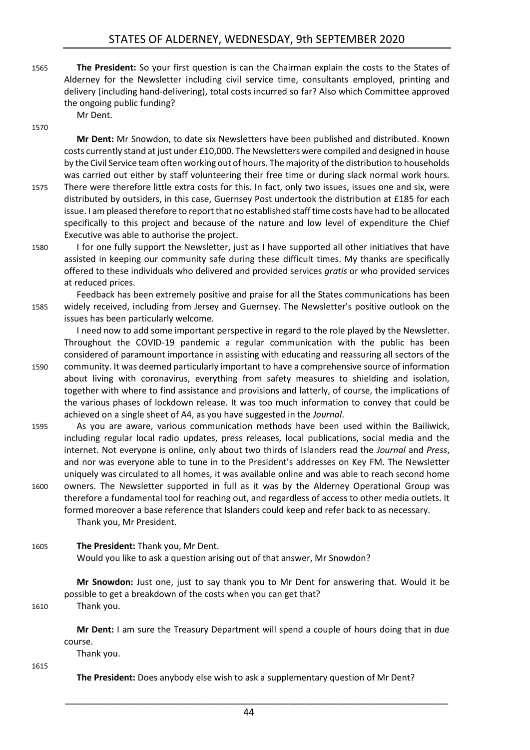1565 **The President:** So your first question is can the Chairman explain the costs to the States of Alderney for the Newsletter including civil service time, consultants employed, printing and delivery (including hand-delivering), total costs incurred so far? Also which Committee approved the ongoing public funding?

### Mr Dent.

1570

**Mr Dent:** Mr Snowdon, to date six Newsletters have been published and distributed. Known costs currently stand at just under £10,000. The Newsletters were compiled and designed in house by the Civil Service team often working out of hours. The majority of the distribution to households was carried out either by staff volunteering their free time or during slack normal work hours. 1575 There were therefore little extra costs for this. In fact, only two issues, issues one and six, were distributed by outsiders, in this case, Guernsey Post undertook the distribution at £185 for each issue. I am pleased therefore to report that no established staff time costs have had to be allocated specifically to this project and because of the nature and low level of expenditure the Chief Executive was able to authorise the project.

1580 I for one fully support the Newsletter, just as I have supported all other initiatives that have assisted in keeping our community safe during these difficult times. My thanks are specifically offered to these individuals who delivered and provided services *gratis* or who provided services at reduced prices.

Feedback has been extremely positive and praise for all the States communications has been 1585 widely received, including from Jersey and Guernsey. The Newsletter's positive outlook on the issues has been particularly welcome.

I need now to add some important perspective in regard to the role played by the Newsletter. Throughout the COVID-19 pandemic a regular communication with the public has been considered of paramount importance in assisting with educating and reassuring all sectors of the 1590 community. It was deemed particularly important to have a comprehensive source of information about living with coronavirus, everything from safety measures to shielding and isolation, together with where to find assistance and provisions and latterly, of course, the implications of

- the various phases of lockdown release. It was too much information to convey that could be achieved on a single sheet of A4, as you have suggested in the *Journal*. 1595 As you are aware, various communication methods have been used within the Bailiwick, including regular local radio updates, press releases, local publications, social media and the internet. Not everyone is online, only about two thirds of Islanders read the *Journal* and *Press*,
- and nor was everyone able to tune in to the President's addresses on Key FM. The Newsletter uniquely was circulated to all homes, it was available online and was able to reach second home 1600 owners. The Newsletter supported in full as it was by the Alderney Operational Group was therefore a fundamental tool for reaching out, and regardless of access to other media outlets. It formed moreover a base reference that Islanders could keep and refer back to as necessary. Thank you, Mr President.
- 1605 **The President:** Thank you, Mr Dent. Would you like to ask a question arising out of that answer, Mr Snowdon?

**Mr Snowdon:** Just one, just to say thank you to Mr Dent for answering that. Would it be possible to get a breakdown of the costs when you can get that?

1610 Thank you.

**Mr Dent:** I am sure the Treasury Department will spend a couple of hours doing that in due course.

Thank you.

1615

**The President:** Does anybody else wish to ask a supplementary question of Mr Dent?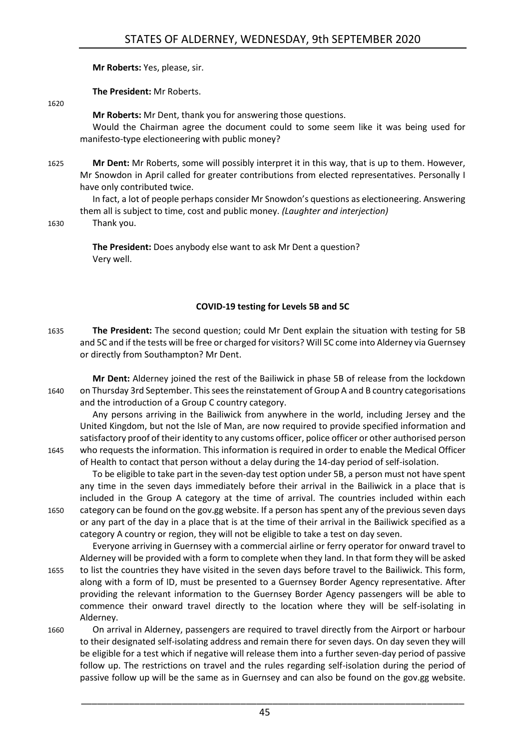**Mr Roberts:** Yes, please, sir.

**The President:** Mr Roberts.

1620

**Mr Roberts:** Mr Dent, thank you for answering those questions.

Would the Chairman agree the document could to some seem like it was being used for manifesto-type electioneering with public money?

1625 **Mr Dent:** Mr Roberts, some will possibly interpret it in this way, that is up to them. However, Mr Snowdon in April called for greater contributions from elected representatives. Personally I have only contributed twice.

In fact, a lot of people perhaps consider Mr Snowdon's questions as electioneering. Answering them all is subject to time, cost and public money. *(Laughter and interjection)*

1630 Thank you.

**The President:** Does anybody else want to ask Mr Dent a question? Very well.

### **COVID-19 testing for Levels 5B and 5C**

<span id="page-44-0"></span>1635 **The President:** The second question; could Mr Dent explain the situation with testing for 5B and 5C and if the tests will be free or charged for visitors? Will 5C come into Alderney via Guernsey or directly from Southampton? Mr Dent.

**Mr Dent:** Alderney joined the rest of the Bailiwick in phase 5B of release from the lockdown 1640 on Thursday 3rd September. This sees the reinstatement of Group A and B country categorisations and the introduction of a Group C country category.

Any persons arriving in the Bailiwick from anywhere in the world, including Jersey and the United Kingdom, but not the Isle of Man, are now required to provide specified information and satisfactory proof of their identity to any customs officer, police officer or other authorised person 1645 who requests the information. This information is required in order to enable the Medical Officer of Health to contact that person without a delay during the 14-day period of self-isolation.

To be eligible to take part in the seven-day test option under 5B, a person must not have spent any time in the seven days immediately before their arrival in the Bailiwick in a place that is included in the Group A category at the time of arrival. The countries included within each 1650 category can be found on the gov.gg website. If a person has spent any of the previous seven days or any part of the day in a place that is at the time of their arrival in the Bailiwick specified as a category A country or region, they will not be eligible to take a test on day seven.

Everyone arriving in Guernsey with a commercial airline or ferry operator for onward travel to Alderney will be provided with a form to complete when they land. In that form they will be asked 1655 to list the countries they have visited in the seven days before travel to the Bailiwick. This form, along with a form of ID, must be presented to a Guernsey Border Agency representative. After providing the relevant information to the Guernsey Border Agency passengers will be able to commence their onward travel directly to the location where they will be self-isolating in Alderney.

1660 On arrival in Alderney, passengers are required to travel directly from the Airport or harbour to their designated self-isolating address and remain there for seven days. On day seven they will be eligible for a test which if negative will release them into a further seven-day period of passive follow up. The restrictions on travel and the rules regarding self-isolation during the period of passive follow up will be the same as in Guernsey and can also be found on the gov.gg website.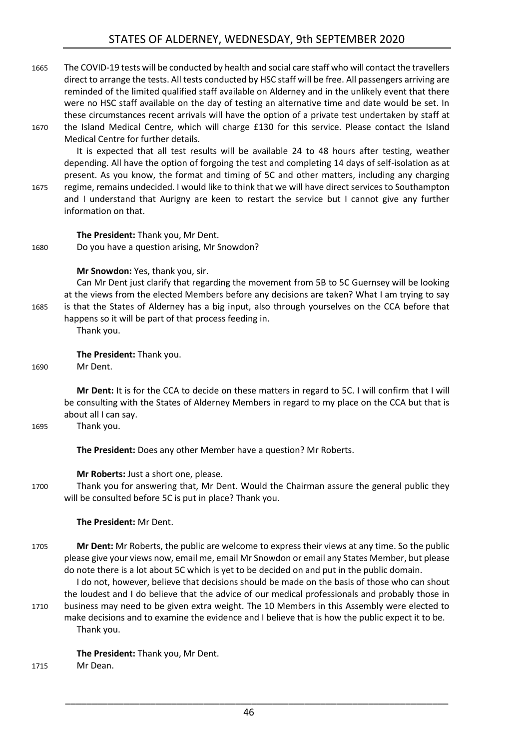- 1665 The COVID-19 tests will be conducted by health and social care staff who will contact the travellers direct to arrange the tests. All tests conducted by HSC staff will be free. All passengers arriving are reminded of the limited qualified staff available on Alderney and in the unlikely event that there were no HSC staff available on the day of testing an alternative time and date would be set. In these circumstances recent arrivals will have the option of a private test undertaken by staff at
- 1670 the Island Medical Centre, which will charge £130 for this service. Please contact the Island Medical Centre for further details.

It is expected that all test results will be available 24 to 48 hours after testing, weather depending. All have the option of forgoing the test and completing 14 days of self-isolation as at present. As you know, the format and timing of 5C and other matters, including any charging 1675 regime, remains undecided. I would like to think that we will have direct services to Southampton and I understand that Aurigny are keen to restart the service but I cannot give any further

information on that.

**The President:** Thank you, Mr Dent. 1680 Do you have a question arising, Mr Snowdon?

**Mr Snowdon:** Yes, thank you, sir.

Can Mr Dent just clarify that regarding the movement from 5B to 5C Guernsey will be looking at the views from the elected Members before any decisions are taken? What I am trying to say 1685 is that the States of Alderney has a big input, also through yourselves on the CCA before that happens so it will be part of that process feeding in.

Thank you.

**The President:** Thank you.

1690 Mr Dent.

**Mr Dent:** It is for the CCA to decide on these matters in regard to 5C. I will confirm that I will be consulting with the States of Alderney Members in regard to my place on the CCA but that is about all I can say.

1695 Thank you.

**The President:** Does any other Member have a question? Mr Roberts.

### **Mr Roberts:** Just a short one, please.

1700 Thank you for answering that, Mr Dent. Would the Chairman assure the general public they will be consulted before 5C is put in place? Thank you.

### **The President:** Mr Dent.

1705 **Mr Dent:** Mr Roberts, the public are welcome to express their views at any time. So the public please give your views now, email me, email Mr Snowdon or email any States Member, but please do note there is a lot about 5C which is yet to be decided on and put in the public domain.

I do not, however, believe that decisions should be made on the basis of those who can shout the loudest and I do believe that the advice of our medical professionals and probably those in 1710 business may need to be given extra weight. The 10 Members in this Assembly were elected to make decisions and to examine the evidence and I believe that is how the public expect it to be. Thank you.

**The President:** Thank you, Mr Dent. 1715 Mr Dean.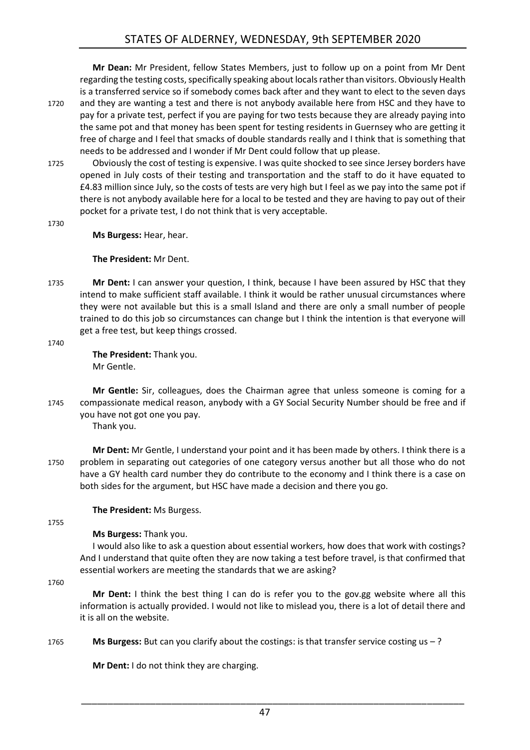**Mr Dean:** Mr President, fellow States Members, just to follow up on a point from Mr Dent regarding the testing costs, specifically speaking about locals rather than visitors. Obviously Health is a transferred service so if somebody comes back after and they want to elect to the seven days 1720 and they are wanting a test and there is not anybody available here from HSC and they have to pay for a private test, perfect if you are paying for two tests because they are already paying into the same pot and that money has been spent for testing residents in Guernsey who are getting it free of charge and I feel that smacks of double standards really and I think that is something that needs to be addressed and I wonder if Mr Dent could follow that up please.

- 1725 Obviously the cost of testing is expensive. I was quite shocked to see since Jersey borders have opened in July costs of their testing and transportation and the staff to do it have equated to £4.83 million since July, so the costs of tests are very high but I feel as we pay into the same pot if there is not anybody available here for a local to be tested and they are having to pay out of their pocket for a private test, I do not think that is very acceptable.
- 1730

**Ms Burgess:** Hear, hear.

**The President:** Mr Dent.

- 1735 **Mr Dent:** I can answer your question, I think, because I have been assured by HSC that they intend to make sufficient staff available. I think it would be rather unusual circumstances where they were not available but this is a small Island and there are only a small number of people trained to do this job so circumstances can change but I think the intention is that everyone will get a free test, but keep things crossed.
- 1740

**The President:** Thank you. Mr Gentle.

**Mr Gentle:** Sir, colleagues, does the Chairman agree that unless someone is coming for a 1745 compassionate medical reason, anybody with a GY Social Security Number should be free and if you have not got one you pay.

Thank you.

**Mr Dent:** Mr Gentle, I understand your point and it has been made by others. I think there is a 1750 problem in separating out categories of one category versus another but all those who do not have a GY health card number they do contribute to the economy and I think there is a case on both sides for the argument, but HSC have made a decision and there you go.

**The President:** Ms Burgess.

1755

### **Ms Burgess:** Thank you.

I would also like to ask a question about essential workers, how does that work with costings? And I understand that quite often they are now taking a test before travel, is that confirmed that essential workers are meeting the standards that we are asking?

1760

**Mr Dent:** I think the best thing I can do is refer you to the gov.gg website where all this information is actually provided. I would not like to mislead you, there is a lot of detail there and it is all on the website.

1765 **Ms Burgess:** But can you clarify about the costings: is that transfer service costing us – ?

**Mr Dent:** I do not think they are charging.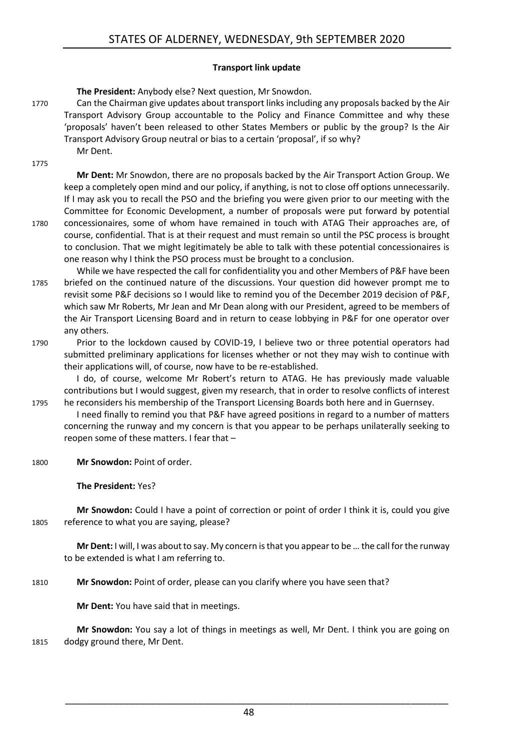### **Transport link update**

<span id="page-47-0"></span>**The President:** Anybody else? Next question, Mr Snowdon. 1770 Can the Chairman give updates about transport links including any proposals backed by the Air Transport Advisory Group accountable to the Policy and Finance Committee and why these 'proposals' haven't been released to other States Members or public by the group? Is the Air Transport Advisory Group neutral or bias to a certain 'proposal', if so why? Mr Dent.

1775

**Mr Dent:** Mr Snowdon, there are no proposals backed by the Air Transport Action Group. We keep a completely open mind and our policy, if anything, is not to close off options unnecessarily. If I may ask you to recall the PSO and the briefing you were given prior to our meeting with the Committee for Economic Development, a number of proposals were put forward by potential 1780 concessionaires, some of whom have remained in touch with ATAG Their approaches are, of course, confidential. That is at their request and must remain so until the PSC process is brought to conclusion. That we might legitimately be able to talk with these potential concessionaires is one reason why I think the PSO process must be brought to a conclusion.

While we have respected the call for confidentiality you and other Members of P&F have been 1785 briefed on the continued nature of the discussions. Your question did however prompt me to revisit some P&F decisions so I would like to remind you of the December 2019 decision of P&F, which saw Mr Roberts, Mr Jean and Mr Dean along with our President, agreed to be members of the Air Transport Licensing Board and in return to cease lobbying in P&F for one operator over any others.

1790 Prior to the lockdown caused by COVID-19, I believe two or three potential operators had submitted preliminary applications for licenses whether or not they may wish to continue with their applications will, of course, now have to be re-established.

I do, of course, welcome Mr Robert's return to ATAG. He has previously made valuable contributions but I would suggest, given my research, that in order to resolve conflicts of interest 1795 he reconsiders his membership of the Transport Licensing Boards both here and in Guernsey.

I need finally to remind you that P&F have agreed positions in regard to a number of matters concerning the runway and my concern is that you appear to be perhaps unilaterally seeking to reopen some of these matters. I fear that –

1800 **Mr Snowdon:** Point of order.

**The President:** Yes?

**Mr Snowdon:** Could I have a point of correction or point of order I think it is, could you give 1805 reference to what you are saying, please?

**Mr Dent:** I will, I was about to say. My concern is that you appear to be … the call for the runway to be extended is what I am referring to.

1810 **Mr Snowdon:** Point of order, please can you clarify where you have seen that?

**Mr Dent:** You have said that in meetings.

**Mr Snowdon:** You say a lot of things in meetings as well, Mr Dent. I think you are going on 1815 dodgy ground there, Mr Dent.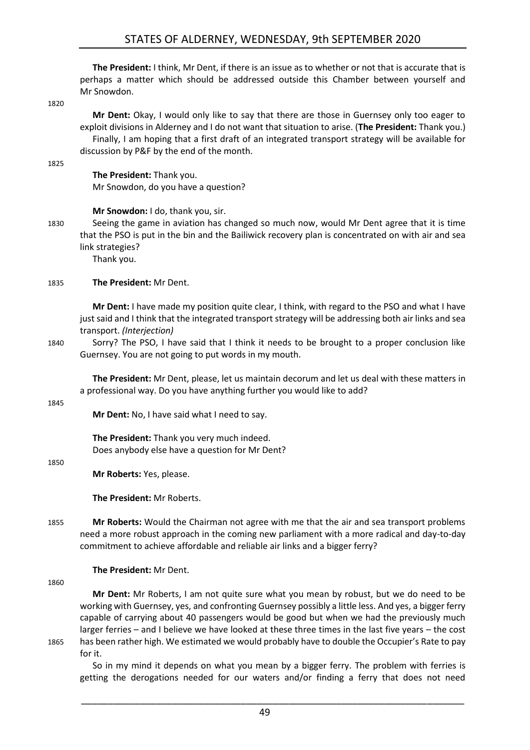**The President:** I think, Mr Dent, if there is an issue as to whether or not that is accurate that is perhaps a matter which should be addressed outside this Chamber between yourself and Mr Snowdon.

1820

**Mr Dent:** Okay, I would only like to say that there are those in Guernsey only too eager to exploit divisions in Alderney and I do not want that situation to arise. (**The President:** Thank you.) Finally, I am hoping that a first draft of an integrated transport strategy will be available for discussion by P&F by the end of the month.

1825

**The President:** Thank you. Mr Snowdon, do you have a question?

**Mr Snowdon:** I do, thank you, sir.

1830 Seeing the game in aviation has changed so much now, would Mr Dent agree that it is time that the PSO is put in the bin and the Bailiwick recovery plan is concentrated on with air and sea link strategies?

Thank you.

### 1835 **The President:** Mr Dent.

**Mr Dent:** I have made my position quite clear, I think, with regard to the PSO and what I have just said and I think that the integrated transport strategy will be addressing both air links and sea transport. *(Interjection)*

1840 Sorry? The PSO, I have said that I think it needs to be brought to a proper conclusion like Guernsey. You are not going to put words in my mouth.

**The President:** Mr Dent, please, let us maintain decorum and let us deal with these matters in a professional way. Do you have anything further you would like to add?

1845

**Mr Dent:** No, I have said what I need to say.

**The President:** Thank you very much indeed. Does anybody else have a question for Mr Dent?

1850

**Mr Roberts:** Yes, please.

**The President:** Mr Roberts.

1855 **Mr Roberts:** Would the Chairman not agree with me that the air and sea transport problems need a more robust approach in the coming new parliament with a more radical and day-to-day commitment to achieve affordable and reliable air links and a bigger ferry?

**The President:** Mr Dent.

1860

**Mr Dent:** Mr Roberts, I am not quite sure what you mean by robust, but we do need to be working with Guernsey, yes, and confronting Guernsey possibly a little less. And yes, a bigger ferry capable of carrying about 40 passengers would be good but when we had the previously much larger ferries – and I believe we have looked at these three times in the last five years – the cost 1865 has been rather high. We estimated we would probably have to double the Occupier's Rate to pay for it.

So in my mind it depends on what you mean by a bigger ferry. The problem with ferries is getting the derogations needed for our waters and/or finding a ferry that does not need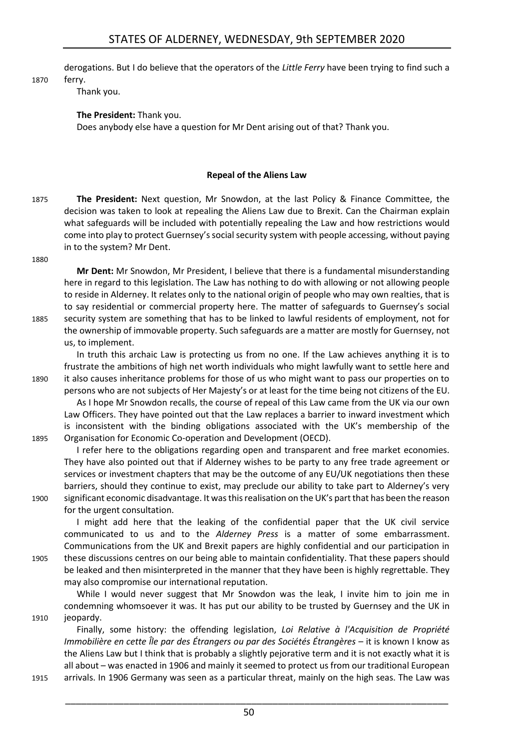derogations. But I do believe that the operators of the *Little Ferry* have been trying to find such a

1870 ferry.

Thank you.

**The President:** Thank you.

Does anybody else have a question for Mr Dent arising out of that? Thank you.

### **Repeal of the Aliens Law**

<span id="page-49-0"></span>1875 **The President:** Next question, Mr Snowdon, at the last Policy & Finance Committee, the decision was taken to look at repealing the Aliens Law due to Brexit. Can the Chairman explain what safeguards will be included with potentially repealing the Law and how restrictions would come into play to protect Guernsey's social security system with people accessing, without paying in to the system? Mr Dent.

1880

**Mr Dent:** Mr Snowdon, Mr President, I believe that there is a fundamental misunderstanding here in regard to this legislation. The Law has nothing to do with allowing or not allowing people to reside in Alderney. It relates only to the national origin of people who may own realties, that is to say residential or commercial property here. The matter of safeguards to Guernsey's social 1885 security system are something that has to be linked to lawful residents of employment, not for the ownership of immovable property. Such safeguards are a matter are mostly for Guernsey, not us, to implement.

In truth this archaic Law is protecting us from no one. If the Law achieves anything it is to frustrate the ambitions of high net worth individuals who might lawfully want to settle here and 1890 it also causes inheritance problems for those of us who might want to pass our properties on to persons who are not subjects of Her Majesty's or at least for the time being not citizens of the EU.

As I hope Mr Snowdon recalls, the course of repeal of this Law came from the UK via our own Law Officers. They have pointed out that the Law replaces a barrier to inward investment which is inconsistent with the binding obligations associated with the UK's membership of the 1895 Organisation for Economic Co-operation and Development (OECD).

I refer here to the obligations regarding open and transparent and free market economies. They have also pointed out that if Alderney wishes to be party to any free trade agreement or services or investment chapters that may be the outcome of any EU/UK negotiations then these barriers, should they continue to exist, may preclude our ability to take part to Alderney's very 1900 significant economic disadvantage. It was this realisation on the UK's part that has been the reason for the urgent consultation.

I might add here that the leaking of the confidential paper that the UK civil service communicated to us and to the *Alderney Press* is a matter of some embarrassment. Communications from the UK and Brexit papers are highly confidential and our participation in

1905 these discussions centres on our being able to maintain confidentiality. That these papers should be leaked and then misinterpreted in the manner that they have been is highly regrettable. They may also compromise our international reputation.

While I would never suggest that Mr Snowdon was the leak, I invite him to join me in condemning whomsoever it was. It has put our ability to be trusted by Guernsey and the UK in 1910 jeopardy.

Finally, some history: the offending legislation, *Loi Relative à l'Acquisition de Propriété Immobilière en cette Île par des Étrangers ou par des Sociétés Étrangères* – it is known I know as the Aliens Law but I think that is probably a slightly pejorative term and it is not exactly what it is all about – was enacted in 1906 and mainly it seemed to protect us from our traditional European 1915 arrivals. In 1906 Germany was seen as a particular threat, mainly on the high seas. The Law was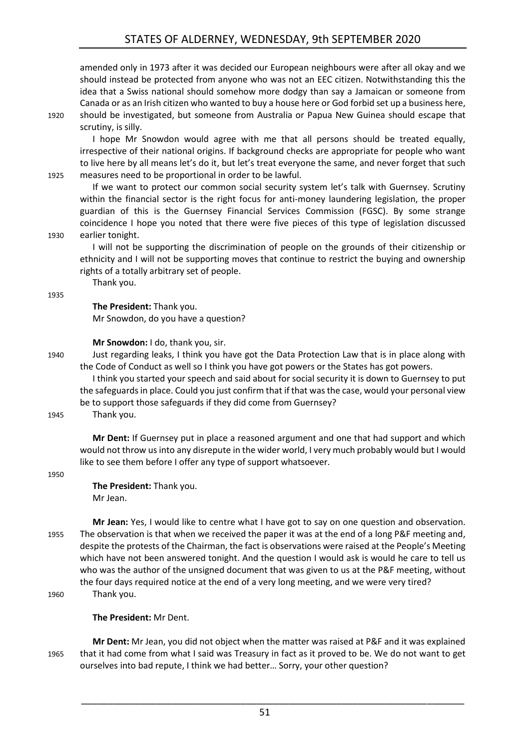amended only in 1973 after it was decided our European neighbours were after all okay and we should instead be protected from anyone who was not an EEC citizen. Notwithstanding this the idea that a Swiss national should somehow more dodgy than say a Jamaican or someone from Canada or as an Irish citizen who wanted to buy a house here or God forbid set up a business here, 1920 should be investigated, but someone from Australia or Papua New Guinea should escape that

I hope Mr Snowdon would agree with me that all persons should be treated equally, irrespective of their national origins. If background checks are appropriate for people who want to live here by all means let's do it, but let's treat everyone the same, and never forget that such 1925 measures need to be proportional in order to be lawful.

If we want to protect our common social security system let's talk with Guernsey. Scrutiny within the financial sector is the right focus for anti-money laundering legislation, the proper guardian of this is the Guernsey Financial Services Commission (FGSC). By some strange coincidence I hope you noted that there were five pieces of this type of legislation discussed 1930 earlier tonight.

I will not be supporting the discrimination of people on the grounds of their citizenship or ethnicity and I will not be supporting moves that continue to restrict the buying and ownership rights of a totally arbitrary set of people.

Thank you.

scrutiny, is silly.

1935

**The President:** Thank you.

Mr Snowdon, do you have a question?

**Mr Snowdon:** I do, thank you, sir.

1940 Just regarding leaks, I think you have got the Data Protection Law that is in place along with the Code of Conduct as well so I think you have got powers or the States has got powers.

I think you started your speech and said about for social security it is down to Guernsey to put the safeguards in place. Could you just confirm that if that was the case, would your personal view be to support those safeguards if they did come from Guernsey?

1945 Thank you.

**Mr Dent:** If Guernsey put in place a reasoned argument and one that had support and which would not throw us into any disrepute in the wider world, I very much probably would but I would like to see them before I offer any type of support whatsoever.

1950

**The President:** Thank you. Mr Jean.

**Mr Jean:** Yes, I would like to centre what I have got to say on one question and observation. 1955 The observation is that when we received the paper it was at the end of a long P&F meeting and, despite the protests of the Chairman, the fact is observations were raised at the People's Meeting which have not been answered tonight. And the question I would ask is would he care to tell us who was the author of the unsigned document that was given to us at the P&F meeting, without the four days required notice at the end of a very long meeting, and we were very tired?

1960 Thank you.

### **The President:** Mr Dent.

**Mr Dent:** Mr Jean, you did not object when the matter was raised at P&F and it was explained 1965 that it had come from what I said was Treasury in fact as it proved to be. We do not want to get ourselves into bad repute, I think we had better… Sorry, your other question?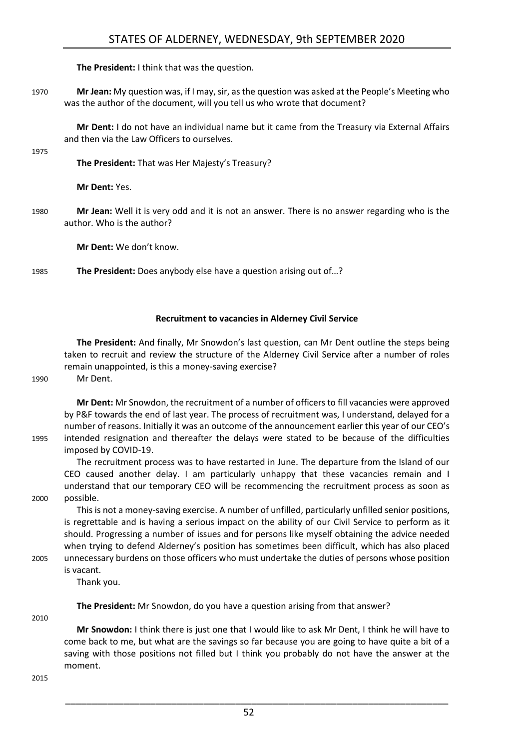**The President:** I think that was the question.

1970 **Mr Jean:** My question was, if I may, sir, as the question was asked at the People's Meeting who was the author of the document, will you tell us who wrote that document?

**Mr Dent:** I do not have an individual name but it came from the Treasury via External Affairs and then via the Law Officers to ourselves.

1975

**The President:** That was Her Majesty's Treasury?

**Mr Dent:** Yes.

1980 **Mr Jean:** Well it is very odd and it is not an answer. There is no answer regarding who is the author. Who is the author?

**Mr Dent:** We don't know.

1985 **The President:** Does anybody else have a question arising out of…?

### **Recruitment to vacancies in Alderney Civil Service**

<span id="page-51-0"></span>**The President:** And finally, Mr Snowdon's last question, can Mr Dent outline the steps being taken to recruit and review the structure of the Alderney Civil Service after a number of roles remain unappointed, is this a money-saving exercise?

1990 Mr Dent.

**Mr Dent:** Mr Snowdon, the recruitment of a number of officers to fill vacancies were approved by P&F towards the end of last year. The process of recruitment was, I understand, delayed for a number of reasons. Initially it was an outcome of the announcement earlier this year of our CEO's 1995 intended resignation and thereafter the delays were stated to be because of the difficulties imposed by COVID-19.

The recruitment process was to have restarted in June. The departure from the Island of our CEO caused another delay. I am particularly unhappy that these vacancies remain and I understand that our temporary CEO will be recommencing the recruitment process as soon as 2000 possible.

This is not a money-saving exercise. A number of unfilled, particularly unfilled senior positions, is regrettable and is having a serious impact on the ability of our Civil Service to perform as it should. Progressing a number of issues and for persons like myself obtaining the advice needed when trying to defend Alderney's position has sometimes been difficult, which has also placed 2005 unnecessary burdens on those officers who must undertake the duties of persons whose position

is vacant.

Thank you.

**The President:** Mr Snowdon, do you have a question arising from that answer?

2010

**Mr Snowdon:** I think there is just one that I would like to ask Mr Dent, I think he will have to come back to me, but what are the savings so far because you are going to have quite a bit of a saving with those positions not filled but I think you probably do not have the answer at the moment.

2015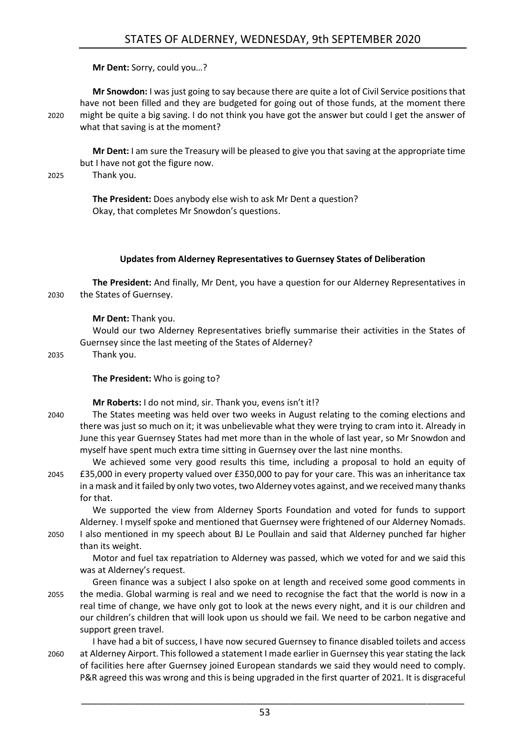**Mr Dent:** Sorry, could you…?

**Mr Snowdon:** I was just going to say because there are quite a lot of Civil Service positions that have not been filled and they are budgeted for going out of those funds, at the moment there 2020 might be quite a big saving. I do not think you have got the answer but could I get the answer of what that saving is at the moment?

**Mr Dent:** I am sure the Treasury will be pleased to give you that saving at the appropriate time but I have not got the figure now.

### 2025 Thank you.

**The President:** Does anybody else wish to ask Mr Dent a question? Okay, that completes Mr Snowdon's questions.

### **Updates from Alderney Representatives to Guernsey States of Deliberation**

<span id="page-52-0"></span>**The President:** And finally, Mr Dent, you have a question for our Alderney Representatives in 2030 the States of Guernsey.

**Mr Dent:** Thank you.

Would our two Alderney Representatives briefly summarise their activities in the States of Guernsey since the last meeting of the States of Alderney?

#### 2035 Thank you.

**The President:** Who is going to?

### **Mr Roberts:** I do not mind, sir. Thank you, evens isn't it!?

- 2040 The States meeting was held over two weeks in August relating to the coming elections and there was just so much on it; it was unbelievable what they were trying to cram into it. Already in June this year Guernsey States had met more than in the whole of last year, so Mr Snowdon and myself have spent much extra time sitting in Guernsey over the last nine months.
- We achieved some very good results this time, including a proposal to hold an equity of 2045 £35,000 in every property valued over £350,000 to pay for your care. This was an inheritance tax in a mask and it failed by only two votes, two Alderney votes against, and we received many thanks for that.

We supported the view from Alderney Sports Foundation and voted for funds to support Alderney. I myself spoke and mentioned that Guernsey were frightened of our Alderney Nomads. 2050 I also mentioned in my speech about BJ Le Poullain and said that Alderney punched far higher than its weight.

Motor and fuel tax repatriation to Alderney was passed, which we voted for and we said this was at Alderney's request.

Green finance was a subject I also spoke on at length and received some good comments in 2055 the media. Global warming is real and we need to recognise the fact that the world is now in a real time of change, we have only got to look at the news every night, and it is our children and our children's children that will look upon us should we fail. We need to be carbon negative and support green travel.

I have had a bit of success, I have now secured Guernsey to finance disabled toilets and access 2060 at Alderney Airport. This followed a statement I made earlier in Guernsey this year stating the lack of facilities here after Guernsey joined European standards we said they would need to comply. P&R agreed this was wrong and this is being upgraded in the first quarter of 2021. It is disgraceful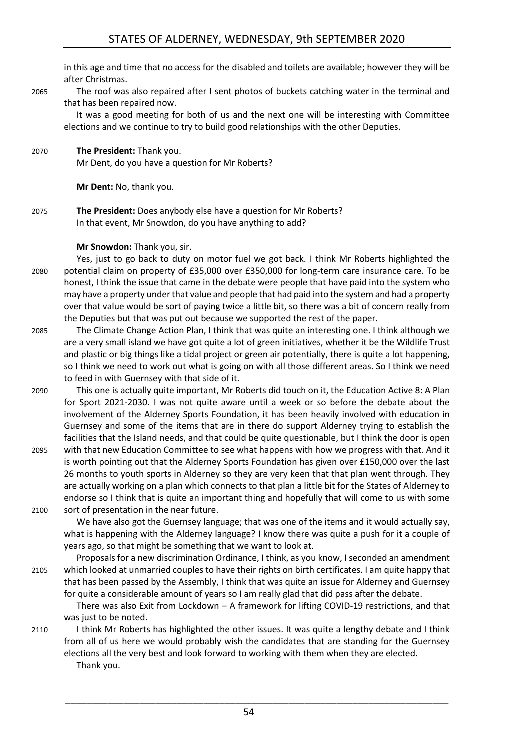in this age and time that no access for the disabled and toilets are available; however they will be after Christmas.

2065 The roof was also repaired after I sent photos of buckets catching water in the terminal and that has been repaired now.

It was a good meeting for both of us and the next one will be interesting with Committee elections and we continue to try to build good relationships with the other Deputies.

2070 **The President:** Thank you. Mr Dent, do you have a question for Mr Roberts?

**Mr Dent:** No, thank you.

2075 **The President:** Does anybody else have a question for Mr Roberts? In that event, Mr Snowdon, do you have anything to add?

### **Mr Snowdon:** Thank you, sir.

- Yes, just to go back to duty on motor fuel we got back. I think Mr Roberts highlighted the 2080 potential claim on property of £35,000 over £350,000 for long-term care insurance care. To be honest, I think the issue that came in the debate were people that have paid into the system who may have a property under that value and people that had paid into the system and had a property over that value would be sort of paying twice a little bit, so there was a bit of concern really from the Deputies but that was put out because we supported the rest of the paper.
- 2085 The Climate Change Action Plan, I think that was quite an interesting one. I think although we are a very small island we have got quite a lot of green initiatives, whether it be the Wildlife Trust and plastic or big things like a tidal project or green air potentially, there is quite a lot happening, so I think we need to work out what is going on with all those different areas. So I think we need to feed in with Guernsey with that side of it.
- 2090 This one is actually quite important, Mr Roberts did touch on it, the Education Active 8: A Plan for Sport 2021-2030. I was not quite aware until a week or so before the debate about the involvement of the Alderney Sports Foundation, it has been heavily involved with education in Guernsey and some of the items that are in there do support Alderney trying to establish the facilities that the Island needs, and that could be quite questionable, but I think the door is open
- 2095 with that new Education Committee to see what happens with how we progress with that. And it is worth pointing out that the Alderney Sports Foundation has given over £150,000 over the last 26 months to youth sports in Alderney so they are very keen that that plan went through. They are actually working on a plan which connects to that plan a little bit for the States of Alderney to endorse so I think that is quite an important thing and hopefully that will come to us with some 2100 sort of presentation in the near future.

We have also got the Guernsey language; that was one of the items and it would actually say, what is happening with the Alderney language? I know there was quite a push for it a couple of years ago, so that might be something that we want to look at.

Proposals for a new discrimination Ordinance, I think, as you know, I seconded an amendment 2105 which looked at unmarried couples to have their rights on birth certificates. I am quite happy that that has been passed by the Assembly, I think that was quite an issue for Alderney and Guernsey for quite a considerable amount of years so I am really glad that did pass after the debate.

There was also Exit from Lockdown – A framework for lifting COVID-19 restrictions, and that was just to be noted.

2110 I think Mr Roberts has highlighted the other issues. It was quite a lengthy debate and I think from all of us here we would probably wish the candidates that are standing for the Guernsey elections all the very best and look forward to working with them when they are elected. Thank you.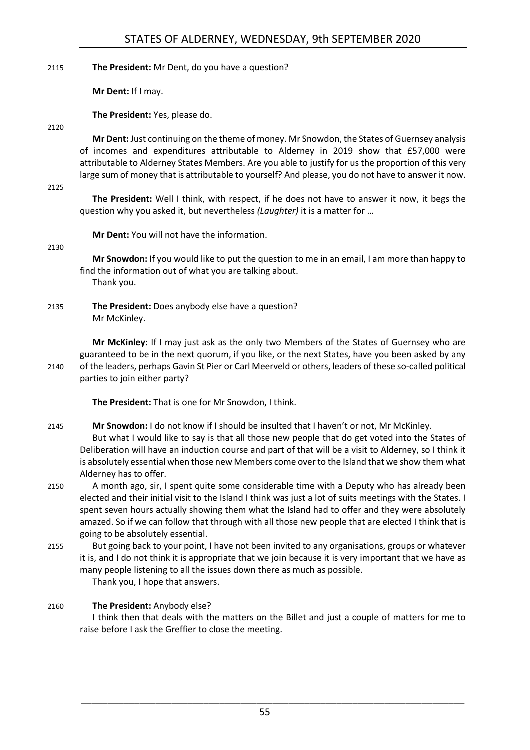2115 **The President:** Mr Dent, do you have a question?

**Mr Dent:** If I may.

**The President:** Yes, please do.

### 2120

**Mr Dent:** Just continuing on the theme of money. Mr Snowdon, the States of Guernsey analysis of incomes and expenditures attributable to Alderney in 2019 show that £57,000 were attributable to Alderney States Members. Are you able to justify for us the proportion of this very large sum of money that is attributable to yourself? And please, you do not have to answer it now.

### 2125

**The President:** Well I think, with respect, if he does not have to answer it now, it begs the question why you asked it, but nevertheless *(Laughter)* it is a matter for …

**Mr Dent:** You will not have the information.

### 2130

**Mr Snowdon:** If you would like to put the question to me in an email, I am more than happy to find the information out of what you are talking about. Thank you.

2135 **The President:** Does anybody else have a question? Mr McKinley.

**Mr McKinley:** If I may just ask as the only two Members of the States of Guernsey who are guaranteed to be in the next quorum, if you like, or the next States, have you been asked by any 2140 of the leaders, perhaps Gavin St Pier or Carl Meerveld or others, leaders of these so-called political parties to join either party?

**The President:** That is one for Mr Snowdon, I think.

- 2145 **Mr Snowdon:** I do not know if I should be insulted that I haven't or not, Mr McKinley. But what I would like to say is that all those new people that do get voted into the States of Deliberation will have an induction course and part of that will be a visit to Alderney, so I think it is absolutely essential when those new Members come over to the Island that we show them what Alderney has to offer.
- 2150 A month ago, sir, I spent quite some considerable time with a Deputy who has already been elected and their initial visit to the Island I think was just a lot of suits meetings with the States. I spent seven hours actually showing them what the Island had to offer and they were absolutely amazed. So if we can follow that through with all those new people that are elected I think that is going to be absolutely essential.
- 2155 But going back to your point, I have not been invited to any organisations, groups or whatever it is, and I do not think it is appropriate that we join because it is very important that we have as many people listening to all the issues down there as much as possible. Thank you, I hope that answers.
- 2160 **The President:** Anybody else? I think then that deals with the matters on the Billet and just a couple of matters for me to raise before I ask the Greffier to close the meeting.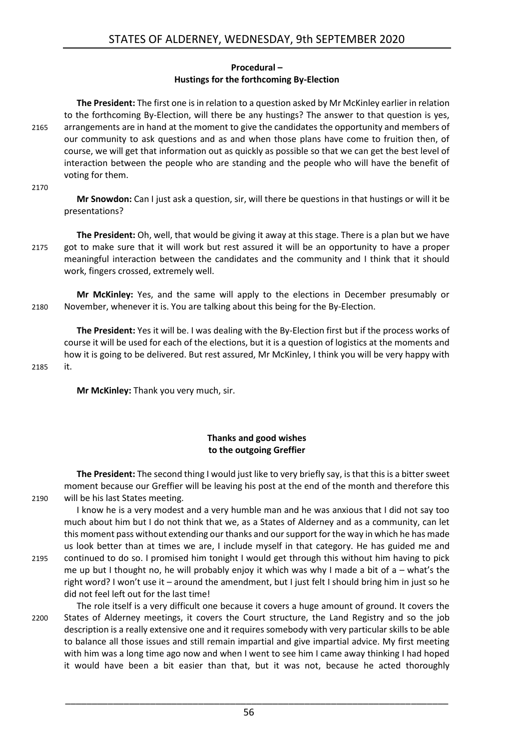### **Procedural – Hustings for the forthcoming By-Election**

<span id="page-55-0"></span>**The President:** The first one is in relation to a question asked by Mr McKinley earlier in relation to the forthcoming By-Election, will there be any hustings? The answer to that question is yes, 2165 arrangements are in hand at the moment to give the candidates the opportunity and members of our community to ask questions and as and when those plans have come to fruition then, of course, we will get that information out as quickly as possible so that we can get the best level of interaction between the people who are standing and the people who will have the benefit of voting for them.

2170

**Mr Snowdon:** Can I just ask a question, sir, will there be questions in that hustings or will it be presentations?

**The President:** Oh, well, that would be giving it away at this stage. There is a plan but we have 2175 got to make sure that it will work but rest assured it will be an opportunity to have a proper meaningful interaction between the candidates and the community and I think that it should work, fingers crossed, extremely well.

**Mr McKinley:** Yes, and the same will apply to the elections in December presumably or 2180 November, whenever it is. You are talking about this being for the By-Election.

**The President:** Yes it will be. I was dealing with the By-Election first but if the process works of course it will be used for each of the elections, but it is a question of logistics at the moments and how it is going to be delivered. But rest assured, Mr McKinley, I think you will be very happy with 2185 it.

**Mr McKinley:** Thank you very much, sir.

### **Thanks and good wishes to the outgoing Greffier**

<span id="page-55-1"></span>**The President:** The second thing I would just like to very briefly say, is that this is a bitter sweet moment because our Greffier will be leaving his post at the end of the month and therefore this 2190 will be his last States meeting.

I know he is a very modest and a very humble man and he was anxious that I did not say too much about him but I do not think that we, as a States of Alderney and as a community, can let this moment pass without extending our thanks and our support for the way in which he has made us look better than at times we are, I include myself in that category. He has guided me and 2195 continued to do so. I promised him tonight I would get through this without him having to pick me up but I thought no, he will probably enjoy it which was why I made a bit of  $a - w$ hat's the right word? I won't use it – around the amendment, but I just felt I should bring him in just so he did not feel left out for the last time!

The role itself is a very difficult one because it covers a huge amount of ground. It covers the 2200 States of Alderney meetings, it covers the Court structure, the Land Registry and so the job description is a really extensive one and it requires somebody with very particular skills to be able to balance all those issues and still remain impartial and give impartial advice. My first meeting with him was a long time ago now and when I went to see him I came away thinking I had hoped it would have been a bit easier than that, but it was not, because he acted thoroughly